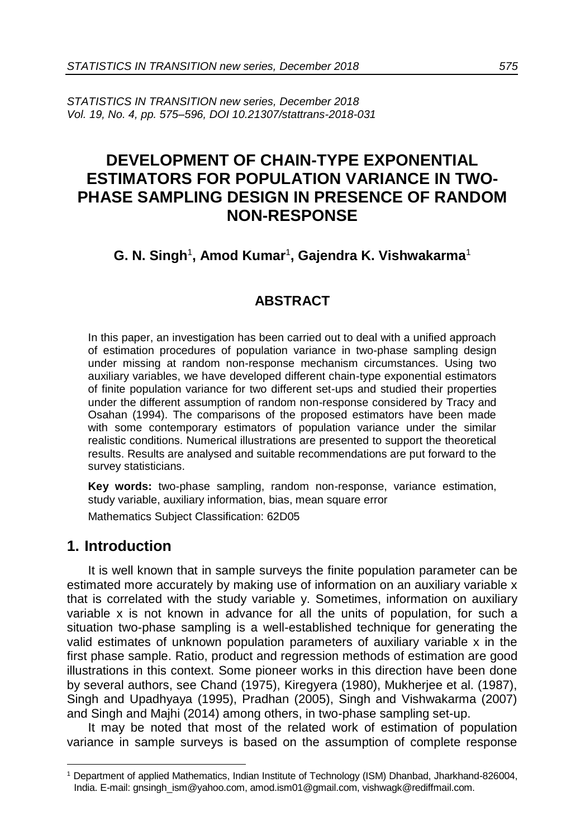*STATISTICS IN TRANSITION new series, December 2018 Vol. 19, No. 4, pp. 575–596, DOI 10.21307/stattrans-2018-031*

## **DEVELOPMENT OF CHAIN-TYPE EXPONENTIAL ESTIMATORS FOR POPULATION VARIANCE IN TWO-PHASE SAMPLING DESIGN IN PRESENCE OF RANDOM NON-RESPONSE**

### **G. N. Singh**<sup>1</sup> **, Amod Kumar**<sup>1</sup> **, Gajendra K. Vishwakarma**<sup>1</sup>

### **ABSTRACT**

In this paper, an investigation has been carried out to deal with a unified approach of estimation procedures of population variance in two-phase sampling design under missing at random non-response mechanism circumstances. Using two auxiliary variables, we have developed different chain-type exponential estimators of finite population variance for two different set-ups and studied their properties under the different assumption of random non-response considered by Tracy and Osahan (1994). The comparisons of the proposed estimators have been made with some contemporary estimators of population variance under the similar realistic conditions. Numerical illustrations are presented to support the theoretical results. Results are analysed and suitable recommendations are put forward to the survey statisticians.

**Key words:** two-phase sampling, random non-response, variance estimation, study variable, auxiliary information, bias, mean square error

Mathematics Subject Classification: 62D05

### **1. Introduction**

-

It is well known that in sample surveys the finite population parameter can be estimated more accurately by making use of information on an auxiliary variable x that is correlated with the study variable y. Sometimes, information on auxiliary variable x is not known in advance for all the units of population, for such a situation two-phase sampling is a well-established technique for generating the valid estimates of unknown population parameters of auxiliary variable x in the first phase sample. Ratio, product and regression methods of estimation are good illustrations in this context. Some pioneer works in this direction have been done by several authors, see Chand (1975), Kiregyera (1980), Mukherjee et al. (1987), Singh and Upadhyaya (1995), Pradhan (2005), Singh and Vishwakarma (2007) and Singh and Majhi (2014) among others, in two-phase sampling set-up.

It may be noted that most of the related work of estimation of population variance in sample surveys is based on the assumption of complete response

<sup>1</sup> Department of applied Mathematics, Indian Institute of Technology (ISM) Dhanbad, Jharkhand-826004, India. E-mail: gnsingh\_ism@yahoo.com, amod.ism01@gmail.com, vishwagk@rediffmail.com.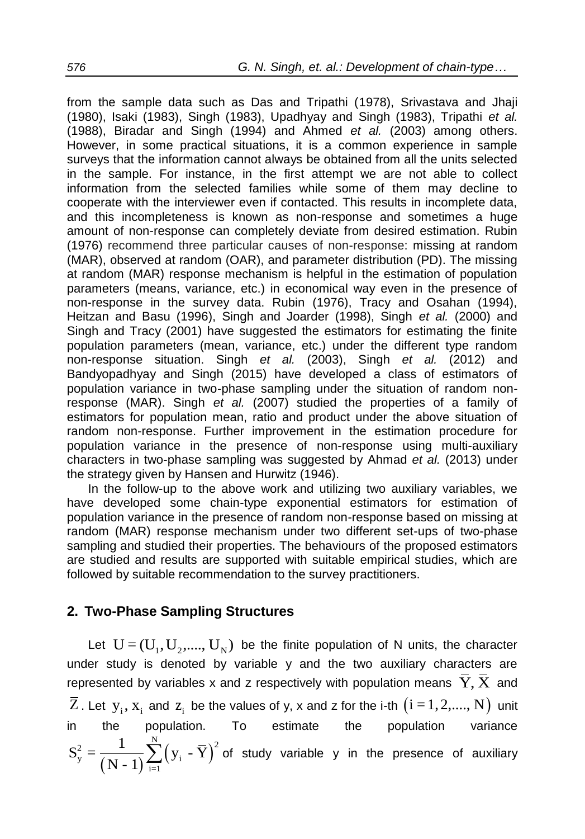from the sample data such as Das and Tripathi (1978), Srivastava and Jhaji (1980), Isaki (1983), Singh (1983), Upadhyay and Singh (1983), Tripathi *et al.* (1988), Biradar and Singh (1994) and Ahmed *et al.* (2003) among others. However, in some practical situations, it is a common experience in sample surveys that the information cannot always be obtained from all the units selected in the sample. For instance, in the first attempt we are not able to collect information from the selected families while some of them may decline to cooperate with the interviewer even if contacted. This results in incomplete data, and this incompleteness is known as non-response and sometimes a huge amount of non-response can completely deviate from desired estimation. Rubin (1976) recommend three particular causes of non-response: missing at random (MAR), observed at random (OAR), and parameter distribution (PD). The missing at random (MAR) response mechanism is helpful in the estimation of population parameters (means, variance, etc.) in economical way even in the presence of non-response in the survey data. Rubin (1976), Tracy and Osahan (1994), Heitzan and Basu (1996), Singh and Joarder (1998), Singh *et al.* (2000) and Singh and Tracy (2001) have suggested the estimators for estimating the finite population parameters (mean, variance, etc.) under the different type random non-response situation. Singh *et al.* (2003), Singh *et al.* (2012) and Bandyopadhyay and Singh (2015) have developed a class of estimators of population variance in two-phase sampling under the situation of random nonresponse (MAR). Singh *et al.* (2007) studied the properties of a family of estimators for population mean, ratio and product under the above situation of random non-response. Further improvement in the estimation procedure for population variance in the presence of non-response using multi-auxiliary characters in two-phase sampling was suggested by Ahmad *et al.* (2013) under the strategy given by Hansen and Hurwitz (1946).

In the follow-up to the above work and utilizing two auxiliary variables, we have developed some chain-type exponential estimators for estimation of population variance in the presence of random non-response based on missing at random (MAR) response mechanism under two different set-ups of two-phase sampling and studied their properties. The behaviours of the proposed estimators are studied and results are supported with suitable empirical studies, which are followed by suitable recommendation to the survey practitioners.

### **2. Two-Phase Sampling Structures**

Let  $U = (U_1, U_2, \ldots, U_N)$  be the finite population of N units, the character under study is denoted by variable y and the two auxiliary characters are represented by variables x and z respectively with population means  $\,\mathbf{\bar{Y}\mathbf{,}\, \bar{X}}\,$  and  $\overline{\mathrm{Z}}$  . Let  $\mathrm{y}_\mathrm{i}, \mathrm{x}_\mathrm{i}$  and  $\mathrm{z}_\mathrm{i}$  be the values of y, x and z for the i-th  $\big(\mathrm{i=1,2,....,N}\big)$  unit in the population. To estimate the population variance  $(N-1)$  $(y_i - Y)$  $\frac{p}{y} = \frac{1}{(N-1)} \sum_{i=1}^{N} (y_i - \overline{Y})^2$  $S_y^2 = \frac{1}{(N-1)} \sum_{i=1}^{N} (y_i - \overline{Y})^2$  of study variable y in the presence of auxiliary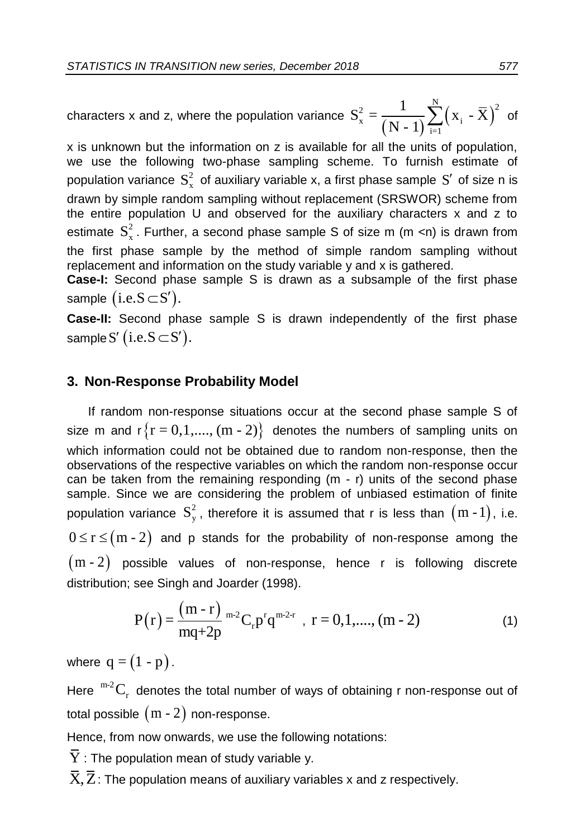characters x and z, where the population variance  $(N-1)$  $(x_i - X)$  $X_{\rm x}^2 = \frac{1}{\left(N-1\right)} \sum_{i=1}^N \left(X_i - \overline{X}\right)^2$  $S_{x}^{2} = \frac{1}{(N-1)} \sum_{i=1}^{N} (x_{i} - \overline{X})^{2}$  of

x is unknown but the information on z is available for all the units of population, we use the following two-phase sampling scheme. To furnish estimate of population variance  $S_x^2$  of auxiliary variable x, a first phase sample  $S'$  of size n is drawn by simple random sampling without replacement (SRSWOR) scheme from the entire population U and observed for the auxiliary characters x and z to estimate  $S_x^2$ . Further, a second phase sample S of size m (m <n) is drawn from the first phase sample by the method of simple random sampling without replacement and information on the study variable y and x is gathered.

**Case-I:** Second phase sample S is drawn as a subsample of the first phase sample  $(i.e.S\!\subset\!S').$ 

**Case-II:** Second phase sample S is drawn independently of the first phase sample S' (i.e.S  $\subset$  S').

### **3. Non-Response Probability Model**

If random non-response situations occur at the second phase sample S of size m and  $r\{r = 0, 1, ..., (m - 2)\}\)$  denotes the numbers of sampling units on which information could not be obtained due to random non-response, then the observations of the respective variables on which the random non-response occur can be taken from the remaining responding (m - r) units of the second phase sample. Since we are considering the problem of unbiased estimation of finite population variance  $S_y^2$ , therefore it is assumed that r is less than  $(m-1)$ , i.e.  $0 \le r \le (m - 2)$  and p stands for the probability of non-response among the  $(m - 2)$  possible values of non-response, hence r is following discrete distribution; see Singh and Joarder (1998).

$$
P(r) = \frac{(m-r)}{mq+2p}^{m-2}C_r p^r q^{m-2-r}, \ r = 0, 1, \dots, (m-2)
$$
 (1)

where  $q = (1 - p)$ .

Here  ${}^{m-2}C_r$  denotes the total number of ways of obtaining r non-response out of total possible  $\,(\mathrm{m}$  -  $2)\,$  non-response.

Hence, from now onwards, we use the following notations:

 $\overline{\mathrm{Y}}$  : The population mean of study variable y.

 $\overline{X}, \overline{Z}$ : The population means of auxiliary variables x and z respectively.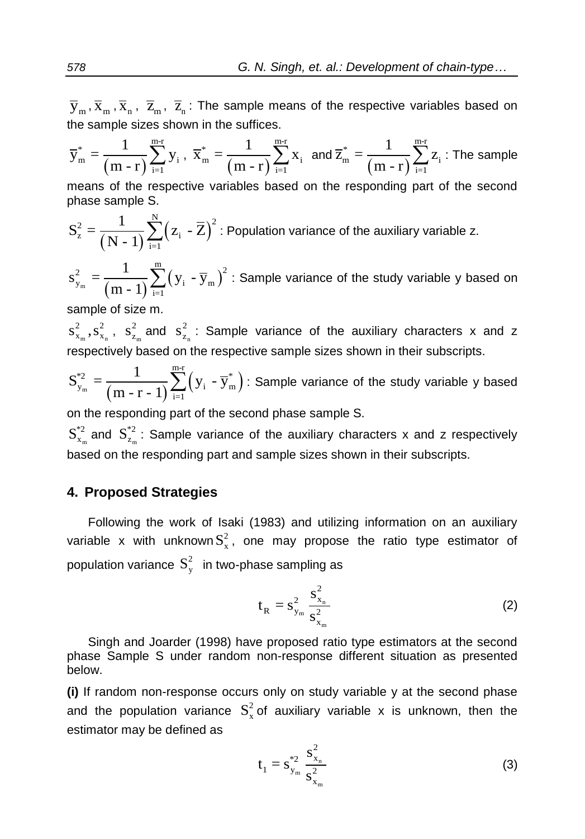$\overline{\mathrm{y}}_{\mathrm{m}},\overline{\mathrm{x}}_{\mathrm{n}},\overline{\mathrm{z}}_{\mathrm{m}},\overline{\mathrm{z}}_{\mathrm{n}}$  : The sample means of the respective variables based on the sample sizes shown in the suffices.

$$
\overline{y}^*_m = \frac{1}{\left(m - r\right)}\sum_{i = 1}^{m\text{-r}} y_i \text{ , } \overline{x}^*_m = \frac{1}{\left(m - r\right)}\sum_{i = 1}^{m\text{-r}} x_i \text{ and } \overline{z}^*_m = \frac{1}{\left(m - r\right)}\sum_{i = 1}^{m\text{-r}} z_i \text{ : The sample}
$$

means of the respective variables based on the responding part of the second phase sample S.

$$
S_z^2 = \frac{1}{(N-1)} \sum_{i=1}^{N} (z_i - \overline{Z})^2
$$
: Population variance of the auxiliary variable z.

 $(m-1)$  $=\frac{1}{(m-1)}\sum_{i}(y_i - \overline{y}_m)$  $\frac{2}{y_{\rm m}} = \frac{1}{(m-1)} \sum_{i=1}^{m} (y_i - \overline{y}_{\rm m})^2$  $s_{y_m}^2 = \frac{1}{(m-1)} \sum_{i=1}^{m} (y_i - \overline{y}_m)^2$  : Sample variance of the study variable y based on

sample of size m.

 $m$   $\lambda$ <sub>n</sub>  $s_{x_m}^2, s_{x_n}^2, s_{z_m}^2$ 2  $s_{z_m}^2$  and  $s_{z_n}^2$ 2  $s_{z_n}^2$ : Sample variance of the auxiliary characters x and z respectively based on the respective sample sizes shown in their subscripts.

 $\sum_{m}^{2} = \frac{1}{(m-r-1)} \sum_{i=1}^{r} (y_i - \overline{y}_m^*)$ \*2  $\frac{1}{\sqrt{2}} \sum_{i=1}^{m-r}$  $y_{\rm m}^{\rm v} = \frac{1}{(m-r-1)} \sum_{\rm i=1}^{n} (y_{\rm i} - \overline{y}_{\rm m}^*)$  $S^{*2}_{y_m} = \frac{1}{(m-r-1)} \sum_{i=1}^{m-r} (y_i - \overline{y}_m^*)$ : Sample variance of the study variable y based

on the responding part of the second phase sample S.

 $S^{*2}_{x_m}$  and  $S^{*2}_{z_m}$ : Sample variance of the auxiliary characters x and z respectively based on the responding part and sample sizes shown in their subscripts.

### **4. Proposed Strategies**

Following the work of Isaki (1983) and utilizing information on an auxiliary variable x with unknown $S_x^2$ , one may propose the ratio type estimator of population variance  $\, \text{S}_{\text{y}}^2 \,$  in two-phase sampling as

$$
t_R = s_{y_m}^2 \frac{s_{x_n}^2}{s_{x_m}^2}
$$
 (2)

Singh and Joarder (1998) have proposed ratio type estimators at the second phase Sample S under random non-response different situation as presented below.

**(i)** If random non-response occurs only on study variable y at the second phase and the population variance  $S_x^2$  of auxiliary variable x is unknown, then the estimator may be defined as

$$
t_1 = s_{y_m}^{*2} \frac{s_{x_n}^2}{s_{x_m}^2}
$$
 (3)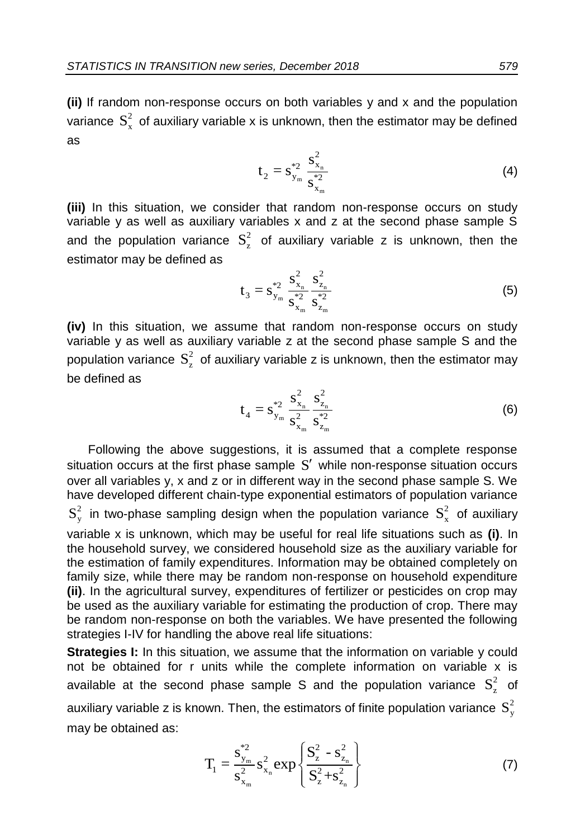**(ii)** If random non-response occurs on both variables y and x and the population variance  $S_x^2$  of auxiliary variable x is unknown, then the estimator may be defined as

$$
t_2 = s_{y_m}^{*2} \frac{s_{x_n}^2}{s_{x_m}^{*2}}
$$
 (4)

**(iii)** In this situation, we consider that random non-response occurs on study variable y as well as auxiliary variables x and z at the second phase sample S and the population variance  $S_z^2$  of auxiliary variable z is unknown, then the estimator may be defined as

$$
t_3 = s_{y_m}^{*2} \frac{s_{x_n}^2}{s_{x_m}^{*2}} \frac{s_{z_n}^2}{s_{z_m}^{*2}}
$$
 (5)

**(iv)** In this situation, we assume that random non-response occurs on study variable y as well as auxiliary variable z at the second phase sample S and the population variance  $S_z^2$  of auxiliary variable z is unknown, then the estimator may be defined as

$$
t_{4} = s_{y_{m}}^{*2} \frac{s_{x_{n}}^{2}}{s_{x_{m}}^{2}} \frac{s_{z_{n}}^{2}}{s_{z_{m}}^{*2}}
$$
 (6)

Following the above suggestions, it is assumed that a complete response situation occurs at the first phase sample S' while non-response situation occurs over all variables y, x and z or in different way in the second phase sample S. We have developed different chain-type exponential estimators of population variance  $S_y^2$  in two-phase sampling design when the population variance  $S_x^2$  of auxiliary variable x is unknown, which may be useful for real life situations such as **(i)**. In the household survey, we considered household size as the auxiliary variable for the estimation of family expenditures. Information may be obtained completely on family size, while there may be random non-response on household expenditure **(ii)**. In the agricultural survey, expenditures of fertilizer or pesticides on crop may be used as the auxiliary variable for estimating the production of crop. There may be random non-response on both the variables. We have presented the following strategies I-IV for handling the above real life situations:

**Strategies I:** In this situation, we assume that the information on variable y could not be obtained for r units while the complete information on variable x is available at the second phase sample S and the population variance  $S_z^2$  of auxiliary variable z is known. Then, the estimators of finite population variance  $\,{\rm S}_{\rm y}^2\,$ may be obtained as:

$$
T_1 = \frac{s_{y_m}^{*2}}{s_{x_m}^2} s_{x_n}^2 exp\left\{\frac{S_z^2 - s_{z_n}^2}{S_z^2 + s_{z_n}^2}\right\}
$$
(7)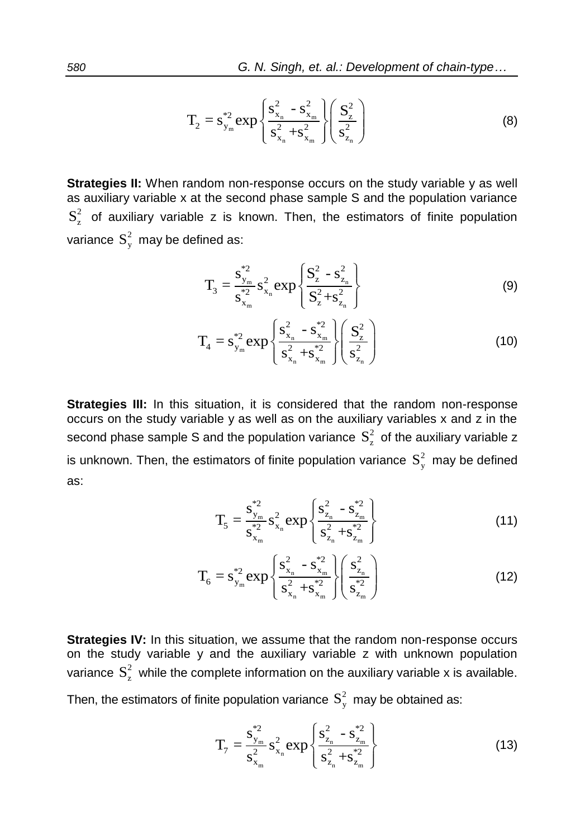$$
T_2 = s_{y_m}^{*2} exp \left\{ \frac{s_{x_n}^2 - s_{x_m}^2}{s_{x_n}^2 + s_{x_m}^2} \right\} \left( \frac{S_z^2}{s_{z_n}^2} \right)
$$
 (8)

**Strategies II:** When random non-response occurs on the study variable y as well as auxiliary variable x at the second phase sample S and the population variance  $S_z^2$  of auxiliary variable z is known. Then, the estimators of finite population variance  $S_y^2$  may be defined as:

$$
T_3 = \frac{s_{y_m}^{*2}}{s_{x_m}^{*2}} s_{x_n}^2 \exp\left\{\frac{S_2^2 - s_{z_n}^2}{S_2^2 + s_{z_n}^2}\right\}
$$
(9)

$$
T_4 = s_{y_m}^{*2} \exp \left\{ \frac{s_{x_n}^2 - s_{x_m}^{*2}}{s_{x_n}^2 + s_{x_m}^{*2}} \right\} \left( \frac{S_z^2}{s_{z_n}^2} \right)
$$
(10)

**Strategies III:** In this situation, it is considered that the random non-response occurs on the study variable y as well as on the auxiliary variables x and z in the second phase sample S and the population variance  $S_z^2$  of the auxiliary variable z is unknown. Then, the estimators of finite population variance  $S_{y}^{2}$  may be defined as:

$$
T_{5} = \frac{s_{y_{m}}^{*2}}{s_{x_{m}}^{*2}} s_{x_{n}}^{2} exp\left\{\frac{s_{z_{n}}^{2} - s_{z_{m}}^{*2}}{s_{z_{n}}^{2} + s_{z_{m}}^{*2}}\right\}
$$
(11)

$$
T_6 = s_{y_m}^{*2} exp \left\{ \frac{s_{x_n}^2 - s_{x_m}^{*2}}{s_{x_n}^2 + s_{x_m}^{*2}} \right\} \left( \frac{s_{z_n}^2}{s_{z_m}^{*2}} \right)
$$
(12)

**Strategies IV:** In this situation, we assume that the random non-response occurs on the study variable y and the auxiliary variable z with unknown population variance  $S_z^2$  while the complete information on the auxiliary variable x is available.

Then, the estimators of finite population variance 
$$
S_y^2
$$
 may be obtained as:

$$
T_7 = \frac{s_{y_m}^{\ast 2}}{s_{x_m}^2} s_{x_n}^2 \exp\left\{\frac{s_{z_n}^2 - s_{z_m}^{\ast 2}}{s_{z_n}^2 + s_{z_m}^{\ast 2}}\right\}
$$
(13)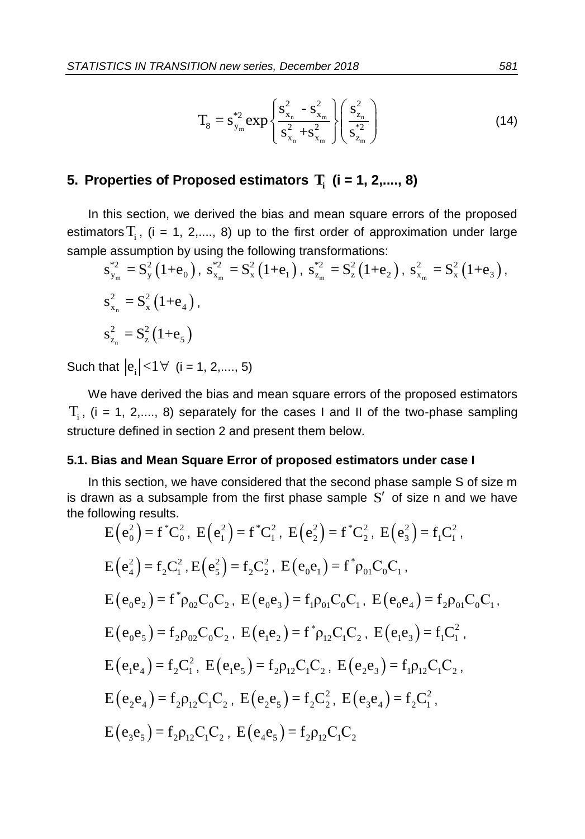$$
T_8 = s_{y_m}^{*2} exp \left\{ \frac{s_{x_n}^2 - s_{x_m}^2}{s_{x_n}^2 + s_{x_m}^2} \right\} \left( \frac{s_{z_n}^2}{s_{z_m}^{*2}} \right)
$$
(14)

## **5. Properties of Proposed estimators Ti (i = 1, 2,...., 8)**

In this section, we derived the bias and mean square errors of the proposed estimators  $T_i$ , (i = 1, 2,...., 8) up to the first order of approximation under large sample assumption by using the following transformations:

$$
s_{y_m}^{*2} = S_y^2 (1 + e_0), \ s_{x_m}^{*2} = S_x^2 (1 + e_1), \ s_{z_m}^{*2} = S_z^2 (1 + e_2), \ s_{x_m}^2 = S_x^2 (1 + e_3),
$$
  
\n
$$
s_{x_n}^2 = S_x^2 (1 + e_4),
$$
  
\n
$$
s_{z_n}^2 = S_z^2 (1 + e_5)
$$

Such that  $|e_i|$  < 1  $\forall$  (i = 1, 2,...., 5)

We have derived the bias and mean square errors of the proposed estimators  $T_i$ , (i = 1, 2,...., 8) separately for the cases I and II of the two-phase sampling structure defined in section 2 and present them below.

#### **5.1. Bias and Mean Square Error of proposed estimators under case I**

In this section, we have considered that the second phase sample S of size m is drawn as a subsample from the first phase sample  $S'$  of size n and we have the following results.

$$
E(e_0^2) = f^*C_0^2, E(e_1^2) = f^*C_1^2, E(e_2^2) = f^*C_2^2, E(e_3^2) = f_1C_1^2,
$$
  
\n
$$
E(e_4^2) = f_2C_1^2, E(e_5^2) = f_2C_2^2, E(e_0e_1) = f^* \rho_{01}C_0C_1,
$$
  
\n
$$
E(e_0e_2) = f^* \rho_{02}C_0C_2, E(e_0e_3) = f_1 \rho_{01}C_0C_1, E(e_0e_4) = f_2 \rho_{01}C_0C_1,
$$
  
\n
$$
E(e_0e_5) = f_2 \rho_{02}C_0C_2, E(e_1e_2) = f^* \rho_{12}C_1C_2, E(e_1e_3) = f_1C_1^2,
$$
  
\n
$$
E(e_1e_4) = f_2C_1^2, E(e_1e_5) = f_2 \rho_{12}C_1C_2, E(e_2e_3) = f_1 \rho_{12}C_1C_2,
$$
  
\n
$$
E(e_2e_4) = f_2 \rho_{12}C_1C_2, E(e_2e_5) = f_2C_2^2, E(e_3e_4) = f_2C_1^2,
$$
  
\n
$$
E(e_3e_5) = f_2 \rho_{12}C_1C_2, E(e_4e_5) = f_2 \rho_{12}C_1C_2
$$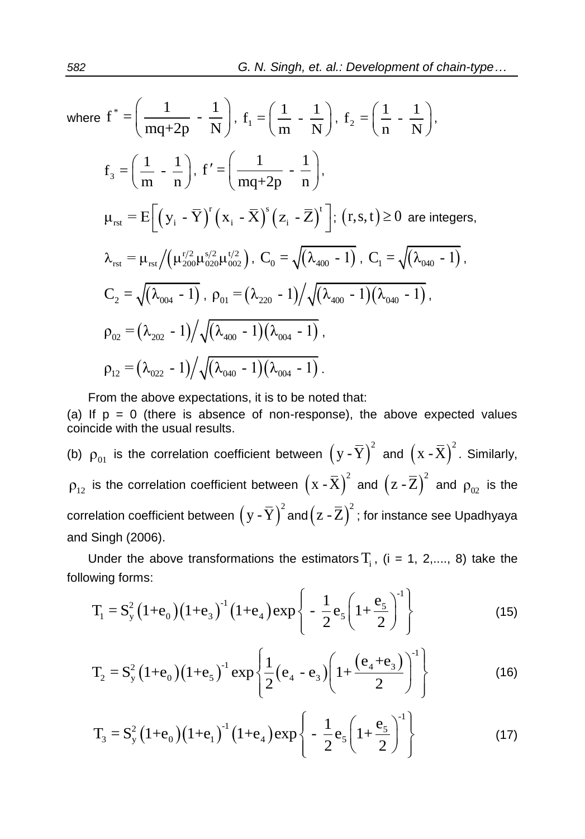where 
$$
f^* = \left(\frac{1}{mq+2p} - \frac{1}{N}\right), f_1 = \left(\frac{1}{m} - \frac{1}{N}\right), f_2 = \left(\frac{1}{n} - \frac{1}{N}\right),
$$
  
\n $f_3 = \left(\frac{1}{m} - \frac{1}{n}\right), f' = \left(\frac{1}{mq+2p} - \frac{1}{n}\right),$   
\n $\mu_{rst} = E\left[\left(y_i - \overline{Y}\right)^r \left(x_i - \overline{X}\right)^s \left(z_i - \overline{Z}\right)^t\right]; (r, s, t) \ge 0$  are integers,  
\n $\lambda_{rst} = \mu_{rst} / \left(\mu_{200}^{r/2} \mu_{020}^{s/2} \mu_{002}^{t/2}\right), C_0 = \sqrt{\lambda_{400} - 1}, C_1 = \sqrt{\lambda_{040} - 1},$   
\n $C_2 = \sqrt{\lambda_{004} - 1}, \rho_{01} = \left(\lambda_{220} - 1\right) / \sqrt{\lambda_{400} - 1} \left(\lambda_{040} - 1\right),$   
\n $\rho_{02} = \left(\lambda_{202} - 1\right) / \sqrt{\lambda_{400} - 1} \left(\lambda_{004} - 1\right),$   
\n $\rho_{12} = \left(\lambda_{022} - 1\right) / \sqrt{\lambda_{040} - 1} \left(\lambda_{004} - 1\right).$ 

From the above expectations, it is to be noted that:

(a) If  $p = 0$  (there is absence of non-response), the above expected values coincide with the usual results.

(b)  $\rho_{01}$  is the correlation coefficient between  $(g - \overline{Y})^2$  and  $(x - \overline{X})^2$ . Similarly,  $\rho_{12}$  is the correlation coefficient between  $\left(x$  -  $\overline{X}\right)^2$  and  $\left(z$  -  $\overline{Z}\right)^2$  and  $\rho_{02}$  is the correlation coefficient between  $\left(\, {\rm y}$  -  $\overline{\rm Y} \, \right)^2$  and $\left( \, {\rm z}$  -  $\overline{\rm Z} \, \right)^2$  ; for instance see Upadhyaya and Singh (2006).

following forms:

Under the above transformations the estimators T<sub>i</sub>, (i = 1, 2,..., 8) take the  
wing forms:  

$$
T_1 = S_y^2 (1 + e_0) (1 + e_3)^{-1} (1 + e_4) \exp \left\{ -\frac{1}{2} e_5 \left( 1 + \frac{e_5}{2} \right)^{-1} \right\}
$$
(15)

$$
T_2 = S_y^2 (1 + e_0) (1 + e_5)^{-1} \exp \left\{ \frac{1}{2} (e_4 - e_3) \left( 1 + \frac{(e_4 + e_3)}{2} \right)^{-1} \right\}
$$
(16)

$$
T_3 = S_y^2 (1 + e_0) (1 + e_1)^{-1} (1 + e_4) exp\left\{ -\frac{1}{2} e_5 \left( 1 + \frac{e_5}{2} \right)^{-1} \right\}
$$
(17)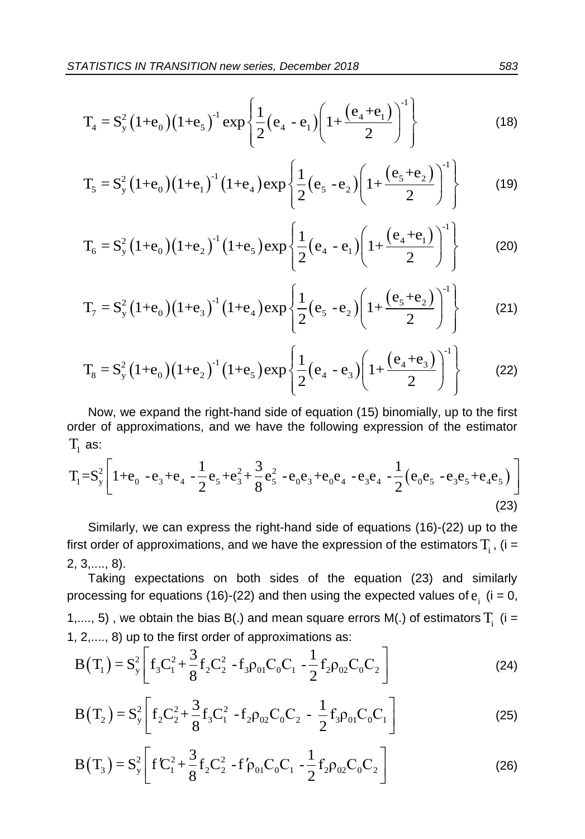AISICS IN TRANSITION new series, December 2018 583  

$$
T_4 = S_y^2 (1 + e_0) (1 + e_5)^{-1} exp \left\{ \frac{1}{2} (e_4 - e_1) \left( 1 + \frac{(e_4 + e_1)}{2} \right)^{-1} \right\}
$$
(18)

$$
I_4 = S_y (1 + e_0)(1 + e_5) \exp \left\{ \frac{1}{2} (e_4 - e_1) \left( 1 + \frac{1}{2} \right) \right\} \tag{18}
$$
\n
$$
T_5 = S_y^2 (1 + e_0)(1 + e_1)^{-1} (1 + e_4) \exp \left\{ \frac{1}{2} (e_5 - e_2) \left( 1 + \frac{(e_5 + e_2)}{2} \right)^{-1} \right\} \tag{19}
$$

$$
I_{5} = S_{y} (1+e_{0})(1+e_{1}) (1+e_{4}) exp \left\{ \frac{1}{2} (e_{5} - e_{2}) \left( 1+ \frac{e_{4} + e_{1}}{2} \right) \right\}
$$
(19)  

$$
T_{6} = S_{y}^{2} (1+e_{0}) (1+e_{2})^{-1} (1+e_{5}) exp \left\{ \frac{1}{2} (e_{4} - e_{1}) \left( 1+ \frac{(e_{4} + e_{1})}{2} \right)^{-1} \right\}
$$
(20)

$$
I_6 = S_y (1 + e_0)(1 + e_2) (1 + e_5) \exp \left\{ \frac{1}{2} (e_4 - e_1) \left( 1 + \frac{e_2}{2} \right) \right\} \tag{20}
$$
  

$$
T_7 = S_y^2 (1 + e_0) (1 + e_3)^{-1} (1 + e_4) \exp \left\{ \frac{1}{2} (e_5 - e_2) \left( 1 + \frac{(e_5 + e_2)}{2} \right)^{-1} \right\} \tag{21}
$$

$$
I_{7} = S_{y}^{2} (1 + e_{0})(1 + e_{3}) (1 + e_{4}) exp \left\{ \frac{1}{2} (e_{5} - e_{2}) \left( 1 + \frac{1}{2} \right) \right\}
$$
(21)  

$$
T_{8} = S_{y}^{2} (1 + e_{0}) (1 + e_{2})^{-1} (1 + e_{5}) exp \left\{ \frac{1}{2} (e_{4} - e_{3}) \left( 1 + \frac{(e_{4} + e_{3})}{2} \right)^{-1} \right\}
$$
(22)

Now, we expand the right-hand side of equation (15) binomially, up to the first order of approximations, and we have the following expression of the estimator  $T_{1}$  as: Now, we expand the right-hand side of equation (15) binomially, up to the first<br>order of approximations, and we have the following expression of the estimator<br> $T_1$  as:<br> $T_1 = S_y^2 \left[ 1 + e_0 - e_3 + e_4 - \frac{1}{2} e_5 + e_3^2 + \frac{3}{8} e$ 

order of approximations, and we have the following expression of the estimator  
\nT<sub>1</sub> as:  
\n
$$
T_1 = S_y^2 \left[ 1 + e_0 - e_3 + e_4 - \frac{1}{2} e_5 + e_3^2 + \frac{3}{8} e_5^2 - e_0 e_3 + e_0 e_4 - e_3 e_4 - \frac{1}{2} (e_0 e_5 - e_3 e_5 + e_4 e_5) \right]
$$
\n(23)

Similarly, we can express the right-hand side of equations (16)-(22) up to the first order of approximations, and we have the expression of the estimators  $T_i$  , (i = 2, 3,...., 8).

Taking expectations on both sides of the equation (23) and similarly processing for equations (16)-(22) and then using the expected values of  $e_i$  (i = 0, 1,...., 5), we obtain the bias B(.) and mean square errors M(.) of estimators  $T_i$  (i = botain the blas B(.) and mean square errors M(.) or es<br>to the first order of approximations as:<br> $\begin{bmatrix} 1 & 3 \ 1 & 2 & -1 \end{bmatrix}$ 

1,..., 5) , we obtain the bias B(.) and mean square errors M(.) of estimators I<sub>i</sub> (1 =  
1, 2,..., 8) up to the first order of approximations as:  

$$
B(T_1) = S_y^2 \left[ f_3 C_1^2 + \frac{3}{8} f_2 C_2^2 - f_3 \rho_{01} C_0 C_1 - \frac{1}{2} f_2 \rho_{02} C_0 C_2 \right]
$$
(24)  

$$
B(T_2) = S_z^2 \left[ f_2 C_2^2 + \frac{3}{2} f_2 C_1^2 - f_2 \rho_{02} C_0 C_2 - \frac{1}{2} f_2 \rho_{01} C_0 C_1 \right]
$$
(25)

$$
B(T_2) = S_y^2 \left[ f_2 C_2^2 + \frac{3}{8} f_3 C_1^2 - f_2 \rho_{02} C_0 C_2 - \frac{1}{2} f_3 \rho_{01} C_0 C_1 \right]
$$
\n
$$
(24)
$$
\n
$$
B(T_2) = S_y^2 \left[ f_2 C_2^2 + \frac{3}{8} f_3 C_1^2 - f_2 \rho_{02} C_0 C_2 - \frac{1}{2} f_3 \rho_{01} C_0 C_1 \right]
$$

$$
B(T_3) = S_y^2 \left[ fC_1^2 + \frac{3}{8} f_2 C_2^2 - f\rho_{01} C_0 C_1 - \frac{1}{2} f_2 \rho_{02} C_0 C_2 \right]
$$
\n(25)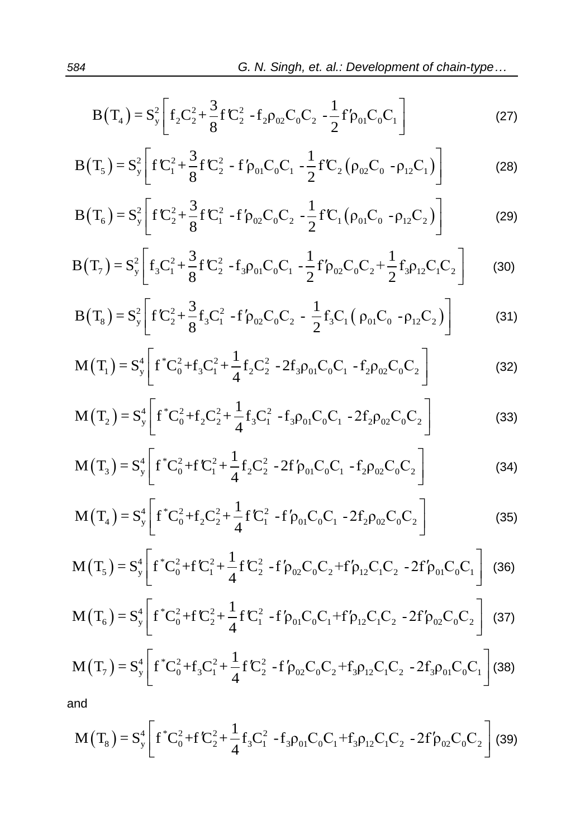$$
B(T_4) = S_y^2 \left[ f_2 C_2^2 + \frac{3}{8} f C_2^2 - f_2 \rho_{02} C_0 C_2 - \frac{1}{2} f' \rho_{01} C_0 C_1 \right]
$$
 (27)

$$
B(T_4) = S_y^2 \left[ f_2 C_2^2 + \frac{1}{8} f C_2^2 - f_2 \rho_{02} C_0 C_2 - \frac{1}{2} f' \rho_{01} C_0 C_1 \right]
$$
(27)  

$$
B(T_5) = S_y^2 \left[ f C_1^2 + \frac{3}{8} f C_2^2 - f' \rho_{01} C_0 C_1 - \frac{1}{2} f' C_2 (\rho_{02} C_0 - \rho_{12} C_1) \right]
$$
(28)

$$
B(T_5) = S_y^2 \left[ fC_1^2 + \frac{1}{8} fC_2^2 - f' \rho_{01} C_0 C_1 - \frac{1}{2} f C_2 (\rho_{02} C_0 - \rho_{12} C_1) \right]
$$
(28)  

$$
B(T_6) = S_y^2 \left[ f C_2^2 + \frac{3}{8} f C_1^2 - f' \rho_{02} C_0 C_2 - \frac{1}{2} f' C_1 (\rho_{01} C_0 - \rho_{12} C_2) \right]
$$
(29)

$$
B(T_6) = S_y^2 \left[ f C_2^2 + \frac{3}{8} f C_1^2 - f \rho_{02} C_0 C_2 - \frac{1}{2} f C_1 (\rho_{01} C_0 - \rho_{12} C_2) \right]
$$
(29)  

$$
B(T_7) = S_y^2 \left[ f_3 C_1^2 + \frac{3}{8} f C_2^2 - f_3 \rho_{01} C_0 C_1 - \frac{1}{2} f \rho_{02} C_0 C_2 + \frac{1}{2} f_3 \rho_{12} C_1 C_2 \right]
$$
(30)

$$
B(T_7) = S_y^2 \left[ f_3 C_1^2 + \frac{3}{8} f C_2^2 - f_3 \rho_{01} C_0 C_1 - \frac{1}{2} f \rho_{02} C_0 C_2 + \frac{1}{2} f_3 \rho_{12} C_1 C_2 \right]
$$
(30)  

$$
B(T_8) = S_y^2 \left[ f C_2^2 + \frac{3}{8} f_3 C_1^2 - f' \rho_{02} C_0 C_2 - \frac{1}{2} f_3 C_1 \left( \rho_{01} C_0 - \rho_{12} C_2 \right) \right]
$$
(31)  

$$
M(T_1) = S_y^4 \left[ f^* C_0^2 + f_3 C_1^2 + \frac{1}{2} f_3 C_2^2 - 2 f_3 \rho_{01} C_0 C_1 - f_2 \rho_{02} C_0 C_2 \right]
$$
(32)

$$
M(T_1) = S_y^4 \left[ f^* C_0^2 + f_3 C_1^2 + \frac{1}{4} f_2 C_2^2 - 2 f_3 \rho_{01} C_0 C_1 - f_2 \rho_{02} C_0 C_2 \right]
$$
(32)  

$$
M(T_2) = S_y^4 \left[ f^* C_0^2 + f_2 C_2^2 + \frac{1}{4} f_3 C_1^2 - f_3 \rho_{01} C_0 C_1 - 2 f_2 \rho_{02} C_0 C_2 \right]
$$
(33)

$$
M(T_2) = S_y^4 \left[ f^* C_0^2 + f_2 C_2^2 + \frac{1}{4} f_3 C_1^2 - f_3 \rho_{01} C_0 C_1 - 2 f_2 \rho_{02} C_0 C_2 \right]
$$
(33)

$$
M(T_2) = S_y \left[ f C_0^2 + f_2 C_2^2 + \frac{1}{4} f_3 C_1^2 - f_3 \rho_{01} C_0 C_1 - 2 f_2 \rho_{02} C_0 C_2 \right]
$$
(33)  

$$
M(T_3) = S_y^4 \left[ f^* C_0^2 + f C_1^2 + \frac{1}{4} f_2 C_2^2 - 2 f' \rho_{01} C_0 C_1 - f_2 \rho_{02} C_0 C_2 \right]
$$
(34)

$$
M(I_3) = S_y \left[ f C_0^2 + f C_1^2 + \frac{1}{4} f_2 C_2^2 - 2f \rho_{01} C_0 C_1 - f_2 \rho_{02} C_0 C_2 \right]
$$
(34)  

$$
M(T_4) = S_y^4 \left[ f^* C_0^2 + f_2 C_2^2 + \frac{1}{4} f C_1^2 - f' \rho_{01} C_0 C_1 - 2f_2 \rho_{02} C_0 C_2 \right]
$$
(35)

$$
M(T_4) = S_y^4 \left[ f^* C_0^2 + f_2 C_2^2 + \frac{1}{4} f C_1^2 - f' \rho_{01} C_0 C_1 - 2 f_2 \rho_{02} C_0 C_2 \right]
$$
(35)  

$$
M(T_5) = S_y^4 \left[ f^* C_0^2 + f C_1^2 + \frac{1}{4} f C_2^2 - f' \rho_{02} C_0 C_2 + f' \rho_{12} C_1 C_2 - 2 f' \rho_{01} C_0 C_1 \right]
$$
(36)

$$
M(T_5) = S_y^4 \left[ f^* C_0^2 + f C_1^2 + \frac{1}{4} f C_2^2 - f' \rho_{02} C_0 C_2 + f' \rho_{12} C_1 C_2 - 2 f' \rho_{01} C_0 C_1 \right] (36)
$$
  

$$
M(T_6) = S_y^4 \left[ f^* C_0^2 + f C_2^2 + \frac{1}{4} f C_1^2 - f' \rho_{01} C_0 C_1 + f' \rho_{12} C_1 C_2 - 2 f' \rho_{02} C_0 C_2 \right] (37)
$$

$$
M(T_6) = S_y^4 \left[ f^* C_0^2 + f C_2^2 + \frac{1}{4} f C_1^2 - f' \rho_{01} C_0 C_1 + f' \rho_{12} C_1 C_2 - 2 f' \rho_{02} C_0 C_2 \right] \tag{37}
$$
  

$$
M(T_7) = S_y^4 \left[ f^* C_0^2 + f_3 C_1^2 + \frac{1}{4} f C_2^2 - f' \rho_{02} C_0 C_2 + f_3 \rho_{12} C_1 C_2 - 2 f_3 \rho_{01} C_0 C_1 \right] \tag{38}
$$

and

and  
\n
$$
M(T_8) = S_y^4 \left[ f^* C_0^2 + f C_2^2 + \frac{1}{4} f_3 C_1^2 - f_3 \rho_{01} C_0 C_1 + f_3 \rho_{12} C_1 C_2 - 2 f' \rho_{02} C_0 C_2 \right]
$$
\n(39)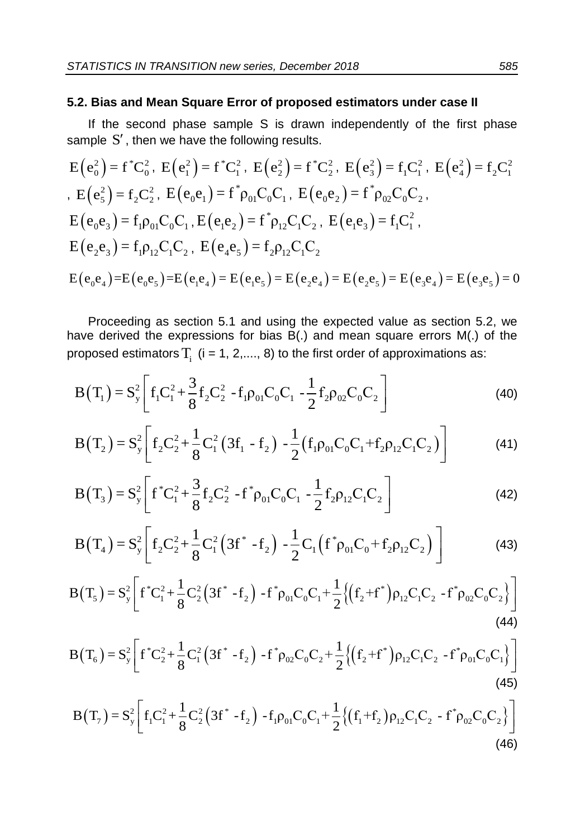#### **5.2. Bias and Mean Square Error of proposed estimators under case II**

If the second phase sample S is drawn independently of the first phase sample  $S'$ , then we have the following results.

$$
E(e_0^2) = f^*C_0^2, E(e_1^2) = f^*C_1^2, E(e_2^2) = f^*C_2^2, E(e_3^2) = f_1C_1^2, E(e_4^2) = f_2C_1^2
$$
  
\n
$$
E(e_5^2) = f_2C_2^2, E(e_0e_1) = f^* \rho_{01}C_0C_1, E(e_0e_2) = f^* \rho_{02}C_0C_2,
$$
  
\n
$$
E(e_0e_3) = f_1 \rho_{01}C_0C_1, E(e_1e_2) = f^* \rho_{12}C_1C_2, E(e_1e_3) = f_1C_1^2,
$$
  
\n
$$
E(e_2e_3) = f_1 \rho_{12}C_1C_2, E(e_4e_5) = f_2 \rho_{12}C_1C_2
$$
  
\n
$$
E(e_0e_4) = E(e_0e_5) = E(e_1e_4) = E(e_1e_5) = E(e_2e_4) = E(e_2e_5) = E(e_3e_4) = E(e_3e_5) = 0
$$

Proceeding as section 5.1 and using the expected value as section 5.2, we have derived the expressions for bias B(.) and mean square errors M(.) of the

proposed estimators T<sub>i</sub> (i = 1, 2,..., 8) to the first order of approximations as:  
\n
$$
B(T_1) = S_y^2 \left[ f_1 C_1^2 + \frac{3}{8} f_2 C_2^2 - f_1 \rho_{01} C_0 C_1 - \frac{1}{2} f_2 \rho_{02} C_0 C_2 \right]
$$
\n(40)  
\n
$$
B(T_2) = S_y^2 \left[ f_2 C_2^2 + \frac{1}{2} C_1^2 (3f_1 - f_2) - \frac{1}{2} (f_1 \rho_{01} C_0 C_1 + f_2 \rho_{12} C_1 C_2) \right]
$$

$$
B(T_1) = S_y^2 \left[ f_1 C_1^2 + \frac{1}{8} f_2 C_2^2 - f_1 \rho_{01} C_0 C_1 - \frac{1}{2} f_2 \rho_{02} C_0 C_2 \right]
$$
(40)  

$$
B(T_2) = S_y^2 \left[ f_2 C_2^2 + \frac{1}{8} C_1^2 (3f_1 - f_2) - \frac{1}{2} (f_1 \rho_{01} C_0 C_1 + f_2 \rho_{12} C_1 C_2) \right]
$$
(41)

$$
B(T_3) = S_y^2 \left[ f^* C_1^2 + \frac{3}{8} f_2 C_2^2 - f^* \rho_{01} C_0 C_1 - \frac{1}{2} f_2 \rho_{12} C_1 C_2 \right]
$$
\n
$$
B(T_3) = S_y^2 \left[ f^* C_1^2 + \frac{3}{8} f_2 C_2^2 - f^* \rho_{01} C_0 C_1 - \frac{1}{2} f_2 \rho_{12} C_1 C_2 \right]
$$
\n
$$
B(T_4) = S_y^2 \left[ f_2 C_2^2 + \frac{1}{2} C_1^2 (3f^* - f_2) - \frac{1}{2} C_1 (f^* \rho_{01} C_0 + f_2 \rho_{12} C_2) \right]
$$
\n(43)

$$
B(T_3) = S_y^2 \left[ f C_1^2 + \frac{1}{8} f_2 C_2^2 - f \rho_{01} C_0 C_1 - \frac{1}{2} f_2 \rho_{12} C_1 C_2 \right]
$$
(42)  

$$
B(T_4) = S_y^2 \left[ f_2 C_2^2 + \frac{1}{8} C_1^2 \left( 3f^* - f_2 \right) - \frac{1}{2} C_1 \left( f^* \rho_{01} C_0 + f_2 \rho_{12} C_2 \right) \right]
$$
(43)  

$$
B(T_5) = S_y^2 \left[ f^* C_1^2 + \frac{1}{8} C_2^2 \left( 3f^* - f_2 \right) - f^* \rho_{01} C_0 C_1 + \frac{1}{2} \left\{ \left( f_2 + f^* \right) \rho_{12} C_1 C_2 - f^* \rho_{02} C_0 C_2 \right\} \right]
$$

$$
B(T_4) = S_y^2 \left[ f_2 C_2^2 + \frac{1}{8} C_1^2 (3f - f_2) - \frac{1}{2} C_1 (f \rho_{01} C_0 + f_2 \rho_{12} C_2) \right]
$$
(43)  

$$
B(T_5) = S_y^2 \left[ f^* C_1^2 + \frac{1}{8} C_2^2 (3f^* - f_2) - f^* \rho_{01} C_0 C_1 + \frac{1}{2} \{ (f_2 + f^*) \rho_{12} C_1 C_2 - f^* \rho_{02} C_0 C_2 \} \right]
$$
(44)  

$$
B(T_6) = S_y^2 \left[ f^* C_2^2 + \frac{1}{8} C_1^2 (3f^* - f_2) - f^* \rho_{02} C_0 C_2 + \frac{1}{2} \{ (f_2 + f^*) \rho_{12} C_1 C_2 - f^* \rho_{01} C_0 C_1 \} \right]
$$

$$
B(T_6) = S_y^2 \left[ f^* C_2^2 + \frac{1}{8} C_1^2 (3f^* - f_2) - f^* \rho_{02} C_0 C_2 + \frac{1}{2} \{ (f_2 + f^*) \rho_{12} C_1 C_2 - f^* \rho_{01} C_0 C_1 \} \right]
$$
\n(45)  
\n
$$
B(T_7) = S_y^2 \left[ f_1 C_1^2 + \frac{1}{8} C_2^2 (3f^* - f_2) - f_1 \rho_{01} C_0 C_1 + \frac{1}{2} \{ (f_1 + f_2) \rho_{12} C_1 C_2 - f^* \rho_{02} C_0 C_2 \} \right]
$$

$$
B(T_7) = S_y^2 \left[ f_1 C_1^2 + \frac{1}{8} C_2^2 \left( 3f^* - f_2 \right) - f_1 \rho_{01} C_0 C_1 + \frac{1}{2} \left\{ \left( f_1 + f_2 \right) \rho_{12} C_1 C_2 - f^* \rho_{02} C_0 C_2 \right\} \right]
$$
\n(46)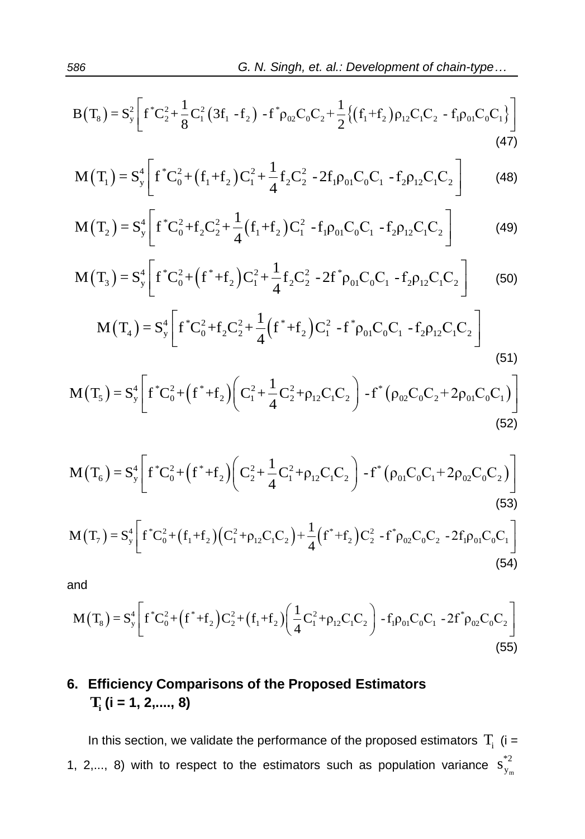86  
\nG. N. Singh, et. al.: Development of chain-type...  
\n
$$
B(T_8) = S_y^2 \left[ f^* C_2^2 + \frac{1}{8} C_1^2 (3f_1 - f_2) - f^* \rho_{02} C_0 C_2 + \frac{1}{2} \{ (f_1 + f_2) \rho_{12} C_1 C_2 - f_1 \rho_{01} C_0 C_1 \} \right]
$$
\n
$$
M(T_1) = S_y^4 \left[ f^* C_0^2 + (f_1 + f_2) C_1^2 + \frac{1}{2} f_2 C_2^2 - 2f_1 \rho_{01} C_0 C_1 - f_2 \rho_{12} C_1 C_2 \right]
$$
\n(48)

$$
M(T_1) = S_y^4 \left[ f^* C_0^2 + (f_1 + f_2) C_1^2 + \frac{1}{4} f_2 C_2^2 - 2f_1 \rho_{01} C_0 C_1 - f_2 \rho_{12} C_1 C_2 \right]
$$
(48)  

$$
M(T_2) = S_y^4 \left[ f^* C_0^2 + f_2 C_2^2 + \frac{1}{4} (f_1 + f_2) C_1^2 - f_1 \rho_{01} C_0 C_1 - f_2 \rho_{12} C_1 C_2 \right]
$$
(49)

$$
M(T_2) = S_y^4 \left[ f^* C_0^2 + f_2 C_2^2 + \frac{1}{4} (f_1 + f_2) C_1^2 - f_1 \rho_{01} C_0 C_1 - f_2 \rho_{12} C_1 C_2 \right]
$$
(49)  

$$
M(T_3) = S_y^4 \left[ f^* C_0^2 + (f^* + f_2) C_1^2 - f_1 \rho_{01} C_0 C_1 - f_2 \rho_{12} C_1 C_2 \right]
$$
(49)  

$$
M(T_3) = S_y^4 \left[ f^* C_0^2 + (f^* + f_2) C_1^2 + \frac{1}{2} f_2 C_2^2 - 2f^* \rho_{01} C_0 C_1 - f_2 \rho_{12} C_1 C_2 \right]
$$
(50)

$$
M(T_3) = S_y^4 \left[ f^* C_0^2 + (f^* + f_2) C_1^2 + \frac{1}{4} f_2 C_2^2 - 2f^* \rho_{01} C_0 C_1 - f_2 \rho_{12} C_1 C_2 \right]
$$
(49)  

$$
M(T_3) = S_y^4 \left[ f^* C_0^2 + (f^* + f_2) C_1^2 + \frac{1}{4} f_2 C_2^2 - 2f^* \rho_{01} C_0 C_1 - f_2 \rho_{12} C_1 C_2 \right]
$$
(50)  

$$
M(T_4) = S_y^4 \left[ f^* C_0^2 + f_2 C_2^2 + \frac{1}{4} (f^* + f_2) C_1^2 - f^* \rho_{01} C_0 C_1 - f_2 \rho_{12} C_1 C_2 \right]
$$

$$
M(T_4) = S_y^4 \left[ f^* C_0^2 + f_2 C_2^2 + \frac{1}{4} (f^* + f_2) C_1^2 - f^* \rho_{01} C_0 C_1 - f_2 \rho_{12} C_1 C_2 \right]
$$
\n
$$
(65)
$$
\n
$$
M(T_4) = S_y^4 \left[ f^* C_0^2 + f_2 C_2^2 + \frac{1}{4} (f^* + f_2) C_1^2 - f^* \rho_{01} C_0 C_1 - f_2 \rho_{12} C_1 C_2 \right]
$$
\n
$$
(51)
$$

$$
M(I_4) = S_y \left[ f C_0^2 + f_2 C_2^2 + \frac{1}{4} (f + f_2) C_1^2 - f \rho_{01} C_0 C_1 - f_2 \rho_{12} C_1 C_2 \right]
$$
\n
$$
(51)
$$
\n
$$
M(T_5) = S_y^4 \left[ f^* C_0^2 + \left( f^* + f_2 \right) \left( C_1^2 + \frac{1}{4} C_2^2 + \rho_{12} C_1 C_2 \right) - f^* \left( \rho_{02} C_0 C_2 + 2 \rho_{01} C_0 C_1 \right) \right]
$$
\n
$$
(52)
$$

$$
M(T_6) = S_y^4 \left[ f^* C_0^2 + (f^* + f_2) \left( C_2^2 + \frac{1}{4} C_1^2 + \rho_{12} C_1 C_2 \right) - f^* \left( \rho_{01} C_0 C_1 + 2 \rho_{02} C_0 C_2 \right) \right]
$$
\n
$$
(53)
$$
\n
$$
M(T_7) = S_y^4 \left[ f^* C_0^2 + (f_1 + f_2) \left( C_1^2 + \rho_{12} C_1 C_2 \right) + \frac{1}{4} \left( f^* + f_2 \right) C_2^2 - f^* \rho_{02} C_0 C_2 - 2 f_1 \rho_{01} C_0 C_1 \right]
$$

$$
M(T_7) = S_y^4 \left[ f^* C_0^2 + (f_1 + f_2)(C_1^2 + \rho_{12} C_1 C_2) + \frac{1}{4} (f^* + f_2) C_2^2 - f^* \rho_{02} C_0 C_2 - 2f_1 \rho_{01} C_0 C_1 \right]
$$
\n(54)

and

and  
\n
$$
M(T_8) = S_y^4 \left[ f^* C_0^2 + (f^* + f_2) C_2^2 + (f_1 + f_2) \left( \frac{1}{4} C_1^2 + \rho_{12} C_1 C_2 \right) - f_1 \rho_{01} C_0 C_1 - 2 f^* \rho_{02} C_0 C_2 \right]
$$
\n(55)

# **6. Efficiency Comparisons of the Proposed Estimators Ti (i = 1, 2,...., 8)**

In this section, we validate the performance of the proposed estimators  $T_i$  (i = 1, 2,..., 8) with to respect to the estimators such as population variance  $S_{y_m}^2$ \*2  $s_y^*$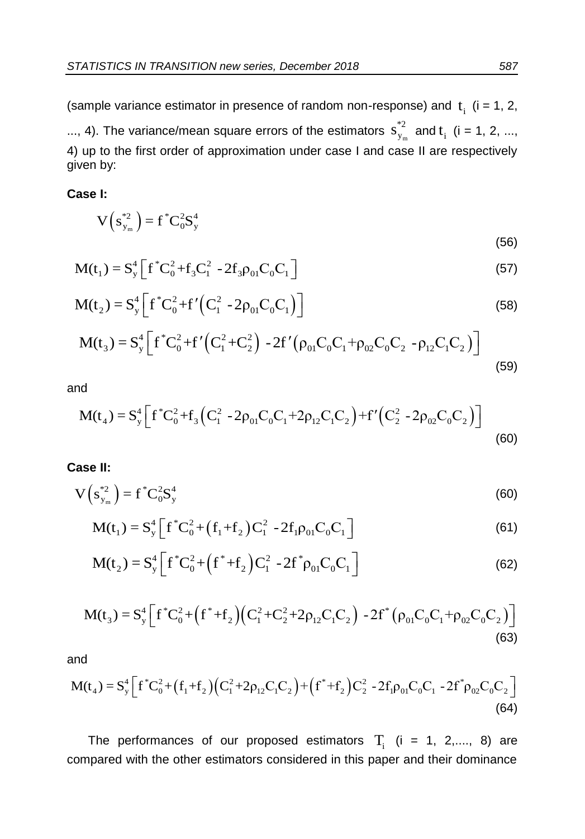(sample variance estimator in presence of random non-response) and  $t_i$  (i = 1, 2, ..., 4). The variance/mean square errors of the estimators  $s_{y_m}^{\;\;\;\;\;\;\;\;\;}$ \*2  $S_{y_m}^{*2}$  and t<sub>i</sub> (i = 1, 2, ..., 4) up to the first order of approximation under case I and case II are respectively given by:

**Case I:** 

$$
V\left(s_{y_m}^{*2}\right) = f^* C_0^2 S_y^4 \tag{56}
$$

$$
M(t_1) = S_y^4 \left[ f^* C_0^2 + f_3 C_1^2 - 2f_3 \rho_{01} C_0 C_1 \right]
$$
\n(57)

$$
M(t_2) = S_y^4 \left[ f^* C_0^2 + f' (C_1^2 - 2\rho_{01} C_0 C_1) \right]
$$
(58)

$$
M(t_2) = S_y^4 \left[ f^* C_0^2 + f' (C_1^2 - 2\rho_{01} C_0 C_1) \right]
$$
\n
$$
M(t_3) = S_y^4 \left[ f^* C_0^2 + f' (C_1^2 + C_2^2) - 2f' (\rho_{01} C_0 C_1 + \rho_{02} C_0 C_2 - \rho_{12} C_1 C_2) \right]
$$
\n(58)

and

$$
(59)
$$
\n
$$
M(t_4) = S_y^4 \Big[ f^* C_0^2 + f_3 \Big( C_1^2 - 2\rho_{01} C_0 C_1 + 2\rho_{12} C_1 C_2 \Big) + f' \Big( C_2^2 - 2\rho_{02} C_0 C_2 \Big) \Big]
$$
\n
$$
(60)
$$

#### **Case II:**

$$
V\left(s_{y_m}^{*2}\right) = f^* C_0^2 S_y^4 \tag{60}
$$

$$
(\mathbf{S}_{y_{\rm m}})^{-1} \mathbf{C}_{0} \mathbf{S}_{y} \tag{60}
$$
  

$$
\mathbf{M}(t_{1}) = \mathbf{S}_{y}^{4} \left[ \mathbf{f}^{*} \mathbf{C}_{0}^{2} + (\mathbf{f}_{1} + \mathbf{f}_{2}) \mathbf{C}_{1}^{2} - 2 \mathbf{f}_{1} \rho_{01} \mathbf{C}_{0} \mathbf{C}_{1} \right]
$$

$$
M(t_1) = S_y \left[ 1 \ C_0 + (1_1 + 1_2) C_1 - 21_1 p_{01} C_0 C_1 \right]
$$
\n
$$
(61)
$$
\n
$$
M(t_2) = S_y^4 \left[ f^* C_0^2 + \left( f^* + f_2 \right) C_1^2 - 2 f^* p_{01} C_0 C_1 \right]
$$
\n
$$
(62)
$$

$$
M(t_2) = S_y^4 \left[ f^* C_0^2 + (f^* + f_2) C_1^2 - 2f^* \rho_{01} C_0 C_1 \right]
$$
(62)  

$$
M(t_3) = S_y^4 \left[ f^* C_0^2 + (f^* + f_2) (C_1^2 + C_2^2 + 2\rho_{12} C_1 C_2) - 2f^* (\rho_{01} C_0 C_1 + \rho_{02} C_0 C_2) \right]
$$
(63)

and

and  
\n
$$
M(t_4) = S_y^4 \Big[ f^* C_0^2 + (f_1 + f_2) (C_1^2 + 2\rho_{12} C_1 C_2) + (f^* + f_2) C_2^2 - 2f_1 \rho_{01} C_0 C_1 - 2f^* \rho_{02} C_0 C_2 \Big]
$$
\n(64)

The performances of our proposed estimators  $T_i$  (i = 1, 2,...., 8) are compared with the other estimators considered in this paper and their dominance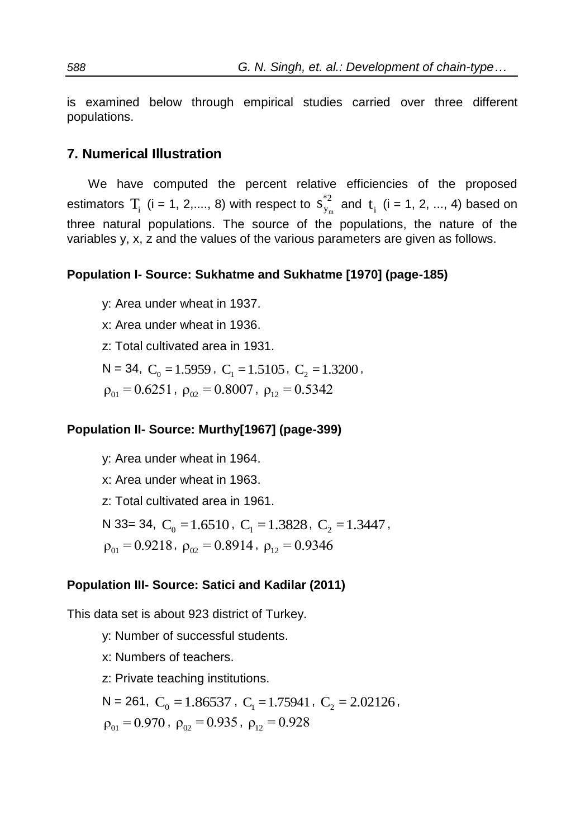is examined below through empirical studies carried over three different populations.

### **7. Numerical Illustration**

We have computed the percent relative efficiencies of the proposed estimators  $T_i$  (i = 1, 2,...., 8) with respect to  $s^{2}$ <sub>y<sub>m</sub></sub> \*2  $s_{y_m}^{*2}$  and t<sub>i</sub> (i = 1, 2, ..., 4) based on three natural populations. The source of the populations, the nature of the variables y, x, z and the values of the various parameters are given as follows.

### **Population I- Source: Sukhatme and Sukhatme [1970] (page-185)**

y: Area under wheat in 1937.

x: Area under wheat in 1936.

z: Total cultivated area in 1931.

 $N = 34$ ,  $C_0 = 1.5959$ ,  $C_1 = 1.5105$ ,  $C_2 = 1.3200$ ,

 $\rho_{01} = 0.6251$ ,  $\rho_{02} = 0.8007$ ,  $\rho_{12} = 0.5342$ 

### **Population II- Source: Murthy[1967] (page-399)**

y: Area under wheat in 1964.

x: Area under wheat in 1963.

z: Total cultivated area in 1961.

N 33= 34,  $C_0 = 1.6510$ ,  $C_1 = 1.3828$ ,  $C_2 = 1.3447$ ,  $\rho_{01} = 0.9218$ ,  $\rho_{02} = 0.8914$ ,  $\rho_{12} = 0.9346$ 

### **Population III- Source: Satici and Kadilar (2011)**

This data set is about 923 district of Turkey.

y: Number of successful students.

x: Numbers of teachers.

z: Private teaching institutions.

 $N = 261, C_0 = 1.86537, C_1 = 1.75941, C_2 = 2.02126,$  $\rho_{01} = 0.970$ ,  $\rho_{02} = 0.935$ ,  $\rho_{12} = 0.928$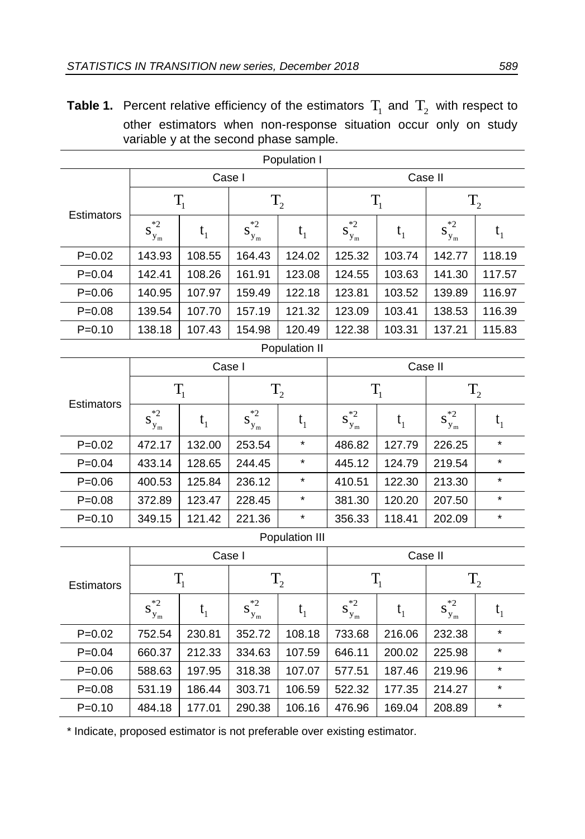**Table 1.** Percent relative efficiency of the estimators  $T_1$  and  $T_2$  with respect to other estimators when non-response situation occur only on study variable y at the second phase sample.

| Population I |                |         |                                                    |                |                |                |                   |          |  |
|--------------|----------------|---------|----------------------------------------------------|----------------|----------------|----------------|-------------------|----------|--|
|              |                |         | Case I                                             |                | Case II        |                |                   |          |  |
| Estimators   | $T_{1}$        |         | $\mathrm{T}_2$                                     |                | $T_{1}$        |                | $T_{2}$           |          |  |
|              | $s_{y_m}^{*2}$ | $t_1$   | $\ast 2$<br>$\mathbf{S}_{\mathbf{y}_{\mathrm{m}}}$ | $t_1$          | $s_{y_m}^{*2}$ | $t_1$          | $s_{y_m}^{*2}$    | $t_1$    |  |
| $P = 0.02$   | 143.93         | 108.55  | 164.43                                             | 124.02         | 125.32         | 103.74         | 142.77            | 118.19   |  |
| $P = 0.04$   | 142.41         | 108.26  | 161.91                                             | 123.08         | 124.55         | 103.63         | 141.30            | 117.57   |  |
| $P = 0.06$   | 140.95         | 107.97  | 159.49                                             | 122.18         | 123.81         | 103.52         | 139.89            | 116.97   |  |
| $P = 0.08$   | 139.54         | 107.70  | 157.19                                             | 121.32         | 123.09         | 103.41         | 138.53            | 116.39   |  |
| $P = 0.10$   | 138.18         | 107.43  | 154.98                                             | 120.49         | 122.38         | 103.31         | 137.21            | 115.83   |  |
|              |                |         |                                                    | Population II  |                |                |                   |          |  |
|              | Case I         |         |                                                    |                |                | Case II        |                   |          |  |
|              | $T_{1}$        |         | $T_{2}$                                            |                | $T_{1}$        |                | $T_{2}$           |          |  |
| Estimators   | $s_{y_m}^{*2}$ | $t_1$   | $\ast 2$<br>$\mathbf{S}_{\mathbf{y}_{\mathrm{m}}}$ | $t_1$          | $s^{*2}_{y_m}$ | t <sub>1</sub> | $s^{*2}_{y_m}$    | $t_{1}$  |  |
| $P=0.02$     | 472.17         | 132.00  | 253.54                                             | $\star$        | 486.82         | 127.79         | 226.25            | $^\star$ |  |
| $P = 0.04$   | 433.14         | 128.65  | 244.45                                             | $\star$        | 445.12         | 124.79         | 219.54            | $\star$  |  |
| $P = 0.06$   | 400.53         | 125.84  | 236.12                                             | *              | 410.51         | 122.30         | 213.30            | *        |  |
| $P = 0.08$   | 372.89         | 123.47  | 228.45                                             | $\star$        | 381.30         | 120.20         | 207.50            | $\star$  |  |
| $P = 0.10$   | 349.15         | 121.42  | 221.36                                             | $\star$        | 356.33         | 118.41         | 202.09            | $\star$  |  |
|              |                |         |                                                    | Population III |                |                |                   |          |  |
|              |                | Case I  |                                                    |                |                | Case II        |                   |          |  |
| Estimators   |                | $T_{1}$ | $T_{2}$                                            |                | $T_{1}$        |                | $T_{2}$           |          |  |
|              | $s_{y_m}^{*2}$ | $t_{1}$ | $s^{*2}_{y_m}$                                     | $t_1$          | $s^{*2}_{y_m}$ | t <sub>1</sub> | $*2$<br>$S_{y_m}$ | $t_{1}$  |  |
| $P = 0.02$   | 752.54         | 230.81  | 352.72                                             | 108.18         | 733.68         | 216.06         | 232.38            | $\star$  |  |
| $P = 0.04$   | 660.37         | 212.33  | 334.63                                             | 107.59         | 646.11         | 200.02         | 225.98            | $\star$  |  |
| $P = 0.06$   | 588.63         | 197.95  | 318.38                                             | 107.07         | 577.51         | 187.46         | 219.96            | $\star$  |  |
| $P = 0.08$   | 531.19         | 186.44  | 303.71                                             | 106.59         | 522.32         | 177.35         | 214.27            | $\star$  |  |
| $P = 0.10$   | 484.18         | 177.01  | 290.38                                             | 106.16         | 476.96         | 169.04         | 208.89            | $\star$  |  |
|              |                |         |                                                    |                |                |                |                   |          |  |

\* Indicate, proposed estimator is not preferable over existing estimator.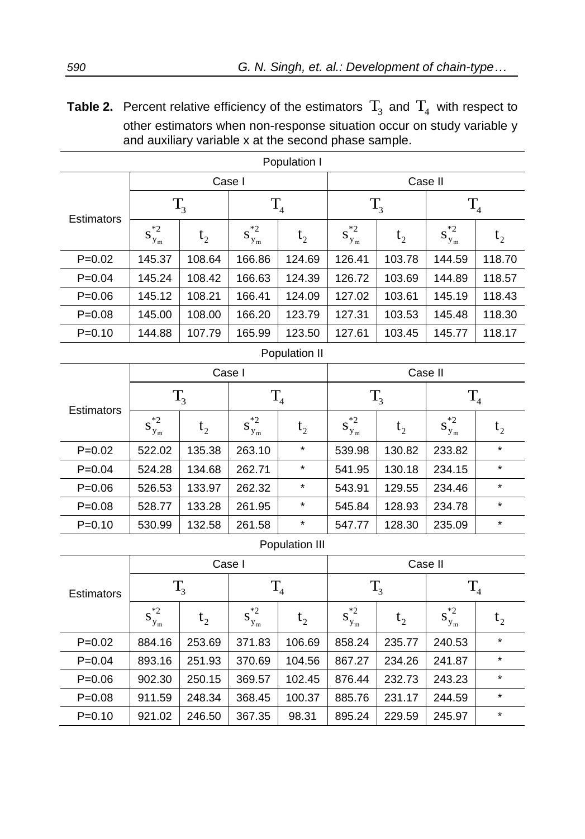**Table 2.** Percent relative efficiency of the estimators  $T_3$  and  $T_4$  with respect to other estimators when non-response situation occur on study variable y and auxiliary variable x at the second phase sample.

| Population I |                |                |                |                |                |                |                |                |  |  |
|--------------|----------------|----------------|----------------|----------------|----------------|----------------|----------------|----------------|--|--|
|              |                | Case I         |                |                |                | Case II        |                |                |  |  |
| Estimators   | $T_3$          |                | $T_{4}$        |                | $T_3$          |                | T <sub>4</sub> |                |  |  |
|              | $s_{y_m}^{*2}$ | t <sub>2</sub> | $s_{y_m}^{*2}$ | $t_{2}$        | $s^{*2}_{y_m}$ | t <sub>2</sub> | $s_{y_m}^{*2}$ | t <sub>2</sub> |  |  |
| $P = 0.02$   | 145.37         | 108.64         | 166.86         | 124.69         | 126.41         | 103.78         | 144.59         | 118.70         |  |  |
| $P = 0.04$   | 145.24         | 108.42         | 166.63         | 124.39         | 126.72         | 103.69         | 144.89         | 118.57         |  |  |
| $P = 0.06$   | 145.12         | 108.21         | 166.41         | 124.09         | 127.02         | 103.61         | 145.19         | 118.43         |  |  |
| $P = 0.08$   | 145.00         | 108.00         | 166.20         | 123.79         | 127.31         | 103.53         | 145.48         | 118.30         |  |  |
| $P = 0.10$   | 144.88         | 107.79         | 165.99         | 123.50         | 127.61         | 103.45         | 145.77         | 118.17         |  |  |
|              |                |                |                | Population II  |                |                |                |                |  |  |
|              |                |                | Case I         |                |                | Case II        |                |                |  |  |
|              | $T_3$          |                | $T_4$          |                | $T_3$          |                | $T_4$          |                |  |  |
| Estimators   | $s_{y_m}^{*2}$ | t <sub>2</sub> | $s^{*2}_{y_m}$ | t <sub>2</sub> | $s^{*2}_{y_m}$ | t <sub>2</sub> | $s^{*2}_{y_m}$ | $t_{2}$        |  |  |
| $P = 0.02$   | 522.02         | 135.38         | 263.10         | $\star$        | 539.98         | 130.82         | 233.82         | $\star$        |  |  |
| $P = 0.04$   | 524.28         | 134.68         | 262.71         | $\star$        | 541.95         | 130.18         | 234.15         | $\star$        |  |  |
| $P = 0.06$   | 526.53         | 133.97         | 262.32         | $\star$        | 543.91         | 129.55         | 234.46         | $\star$        |  |  |
| $P = 0.08$   | 528.77         | 133.28         | 261.95         | $\star$        | 545.84         | 128.93         | 234.78         | $\star$        |  |  |
| $P = 0.10$   | 530.99         | 132.58         | 261.58         | $\star$        | 547.77         | 128.30         | 235.09         | $\star$        |  |  |
|              |                |                |                | Population III |                |                |                |                |  |  |
|              |                | Case I         |                |                |                | Case II        |                |                |  |  |
| Estimators   | $T_{3}$        |                | T <sub>4</sub> |                | $T_3$          |                | T <sub>4</sub> |                |  |  |
|              | $s_{y_m}^{*2}$ | $t_{2}$        | $s_{y_m}^{*2}$ | t <sub>2</sub> | $s_{y_m}^{*2}$ | t <sub>2</sub> | $s_{y_m}^{*2}$ | t <sub>2</sub> |  |  |
| $P=0.02$     | 884.16         | 253.69         | 371.83         | 106.69         | 858.24         | 235.77         | 240.53         | *              |  |  |
| $P = 0.04$   | 893.16         | 251.93         | 370.69         | 104.56         | 867.27         | 234.26         | 241.87         | *              |  |  |
| $P = 0.06$   | 902.30         | 250.15         | 369.57         | 102.45         | 876.44         | 232.73         | 243.23         | *              |  |  |
| $P = 0.08$   | 911.59         | 248.34         | 368.45         | 100.37         | 885.76         | 231.17         | 244.59         | $\star$        |  |  |
| $P = 0.10$   | 921.02         | 246.50         | 367.35         | 98.31          | 895.24         | 229.59         | 245.97         | $\star$        |  |  |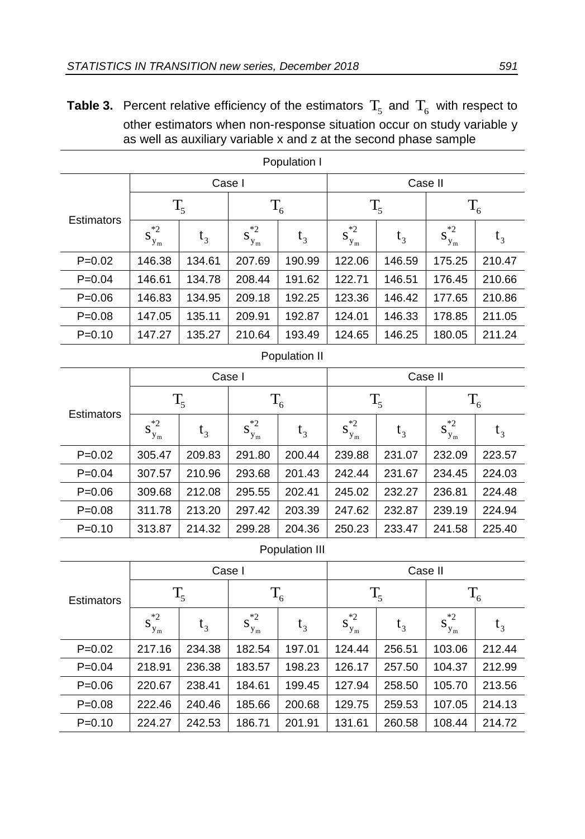**Table 3.** Percent relative efficiency of the estimators  $T_5$  and  $T_6$  with respect to other estimators when non-response situation occur on study variable y as well as auxiliary variable x and z at the second phase sample

| Population I |                            |        |                            |               |                            |        |                   |        |  |  |
|--------------|----------------------------|--------|----------------------------|---------------|----------------------------|--------|-------------------|--------|--|--|
|              |                            | Case I |                            |               | Case II                    |        |                   |        |  |  |
| Estimators   | $T_5$                      |        | $T_6$                      |               | $T_5$                      |        | $T_6$             |        |  |  |
|              | $*2$<br>$\mathbf{S}_{y_m}$ | $t_3$  | $*2$<br>$\mathbf{S}_{y_m}$ | $t_3$         | $*2$<br>$\mathbf{S}_{y_m}$ | $t_3$  | $*2$<br>$S_{y_m}$ | $t_3$  |  |  |
| $P = 0.02$   | 146.38                     | 134.61 | 207.69                     | 190.99        | 122.06                     | 146.59 | 175.25            | 210.47 |  |  |
| $P = 0.04$   | 146.61                     | 134.78 | 208.44                     | 191.62        | 122.71                     | 146.51 | 176.45            | 210.66 |  |  |
| $P = 0.06$   | 146.83                     | 134.95 | 209.18                     | 192.25        | 123.36                     | 146.42 | 177.65            | 210.86 |  |  |
| $P = 0.08$   | 147.05                     | 135.11 | 209.91                     | 192.87        | 124.01                     | 146.33 | 178.85            | 211.05 |  |  |
| $P = 0.10$   | 147.27                     | 135.27 | 210.64                     | 193.49        | 124.65                     | 146.25 | 180.05            | 211.24 |  |  |
|              |                            |        |                            | Population II |                            |        |                   |        |  |  |
|              |                            | Case I |                            |               |                            |        | Case II           |        |  |  |
| Estimators   | $T_{\rm s}$                |        | $T_6$                      |               | $T_{5}$                    |        | $T_6$             |        |  |  |
|              | $*2$<br>$S_{y_m}$          | $t_3$  | $*2$<br>$S_{y_m}$          | $t_3$         | $*2$<br>$S_{y_m}$          | $t_3$  | $*2$<br>$S_{y_m}$ | $t_3$  |  |  |
| $P = 0.02$   | 305.47                     | 209.83 | 291.80                     | 200.44        | 239.88                     | 231.07 | 232.09            | 223.57 |  |  |
| $P = 0.04$   | 307.57                     | 210.96 | 293.68                     | 201.43        | 242.44                     | 231.67 | 234.45            | 224.03 |  |  |
| $P = 0.06$   | 309.68                     | 212.08 | 295.55                     | 202.41        | 245.02                     | 232.27 | 236.81            | 224.48 |  |  |
| $P = 0.08$   | 311.78                     | 213.20 | 297.42                     | 203.39        | 247.62                     | 232.87 | 239.19            | 224.94 |  |  |
| $P = 0.10$   | 313.87                     | 214.32 | 299.28                     | 204.36        | 250.23                     | 233.47 | 241.58            | 225.40 |  |  |

### Population III

| <b>Estimators</b> |                    |        | Case I            |        | Case II        |        |                         |        |  |
|-------------------|--------------------|--------|-------------------|--------|----------------|--------|-------------------------|--------|--|
|                   | $T_5$              |        | $T_6$             |        | $T_5$          |        | $T_6$                   |        |  |
|                   | $s_{y_m}^{\ast 2}$ | $t_3$  | $*2$<br>$S_{y_m}$ | $t_3$  | $S^{*2}_{y_m}$ | $t_3$  | $\cdot$ *2<br>$S_{y_m}$ | $t_3$  |  |
| $P=0.02$          | 217.16             | 234.38 | 182.54            | 197.01 | 124.44         | 256.51 | 103.06                  | 212.44 |  |
| $P = 0.04$        | 218.91             | 236.38 | 183.57            | 198.23 | 126.17         | 257.50 | 104.37                  | 212.99 |  |
| $P=0.06$          | 220.67             | 238.41 | 184.61            | 199.45 | 127.94         | 258.50 | 105.70                  | 213.56 |  |
| $P = 0.08$        | 222.46             | 240.46 | 185.66            | 200.68 | 129.75         | 259.53 | 107.05                  | 214.13 |  |
| $P = 0.10$        | 224.27             | 242.53 | 186.71            | 201.91 | 131.61         | 260.58 | 108.44                  | 214.72 |  |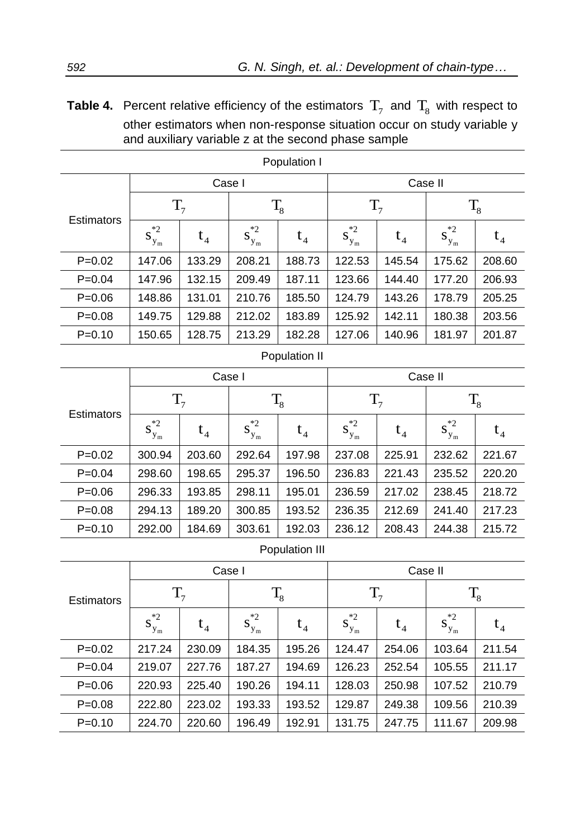**Table 4.** Percent relative efficiency of the estimators  $T_7$  and  $T_8$  with respect to other estimators when non-response situation occur on study variable y and auxiliary variable z at the second phase sample

| Population I   |                            |        |                       |               |                   |        |                            |        |  |
|----------------|----------------------------|--------|-----------------------|---------------|-------------------|--------|----------------------------|--------|--|
|                |                            |        | Case I                |               | Case II           |        |                            |        |  |
| Estimators     | T <sub>7</sub>             |        | $T_{8}$               |               | $T_7$             |        | $T_8$                      |        |  |
|                | $^{\ast}2$<br>$S_{y_m}$    | $t_4$  | $s_{y_m}^{\ast 2}$    | $t_4$         | $s^{*2}_{y_m}$    | $t_4$  | $s^{*2}_{y_m}$             | $t_4$  |  |
| $P = 0.02$     | 147.06                     | 133.29 | 208.21                | 188.73        | 122.53            | 145.54 | 175.62                     | 208.60 |  |
| $P = 0.04$     | 147.96                     | 132.15 | 209.49                | 187.11        | 123.66            | 144.40 | 177.20                     | 206.93 |  |
| $P = 0.06$     | 148.86                     | 131.01 | 210.76                | 185.50        | 124.79            | 143.26 | 178.79                     | 205.25 |  |
| $P = 0.08$     | 149.75                     | 129.88 | 212.02                | 183.89        | 125.92            | 142.11 | 180.38                     | 203.56 |  |
| $P = 0.10$     | 150.65                     | 128.75 | 213.29                | 182.28        | 127.06            | 140.96 | 181.97                     | 201.87 |  |
|                |                            |        |                       | Population II |                   |        |                            |        |  |
|                |                            |        | Case I                |               |                   |        | Case II                    |        |  |
|                | $T_7$                      |        | $T_{8}$               |               | $T_7$             |        | $T_8$                      |        |  |
| Estimators     | $*2$<br>$\mathbf{S}_{y_m}$ | $t_4$  | $\ast 2$<br>$S_{y_m}$ | $t_4$         | $*2$<br>$S_{y_m}$ | $t_4$  | $*2$<br>$\mathbf{S}_{y_m}$ | $t_4$  |  |
| $P = 0.02$     | 300.94                     | 203.60 | 292.64                | 197.98        | 237.08            | 225.91 | 232.62                     | 221.67 |  |
| $P = 0.04$     | 298.60                     | 198.65 | 295.37                | 196.50        | 236.83            | 221.43 | 235.52                     | 220.20 |  |
| $P = 0.06$     | 296.33                     | 193.85 | 298.11                | 195.01        | 236.59            | 217.02 | 238.45                     | 218.72 |  |
| $P = 0.08$     | 294.13                     | 189.20 | 300.85                | 193.52        | 236.35            | 212.69 | 241.40                     | 217.23 |  |
| $P = 0.10$     | 292.00                     | 184.69 | 303.61                | 192.03        | 236.12            | 208.43 | 244.38                     | 215.72 |  |
| Dopulation III |                            |        |                       |               |                   |        |                            |        |  |

#### Population III

| <b>Estimators</b> |                    | Case I |                   |        | Case II           |        |                   |                |  |
|-------------------|--------------------|--------|-------------------|--------|-------------------|--------|-------------------|----------------|--|
|                   | T <sub>7</sub>     |        | $\rm T_{8}$       |        | T <sub>7</sub>    |        | $\mathrm{T_{8}}$  |                |  |
|                   | $s_{y_m}^{\ast 2}$ | $t_4$  | $*2$<br>$S_{y_m}$ | $t_4$  | $*2$<br>$S_{y_m}$ | $t_4$  | $*2$<br>$S_{y_m}$ | $\mathsf{t}_4$ |  |
| $P=0.02$          | 217.24             | 230.09 | 184.35            | 195.26 | 124.47            | 254.06 | 103.64            | 211.54         |  |
| $P = 0.04$        | 219.07             | 227.76 | 187.27            | 194.69 | 126.23            | 252.54 | 105.55            | 211.17         |  |
| $P = 0.06$        | 220.93             | 225.40 | 190.26            | 194.11 | 128.03            | 250.98 | 107.52            | 210.79         |  |
| $P = 0.08$        | 222.80             | 223.02 | 193.33            | 193.52 | 129.87            | 249.38 | 109.56            | 210.39         |  |
| $P=0.10$          | 224.70             | 220.60 | 196.49            | 192.91 | 131.75            | 247.75 | 111.67            | 209.98         |  |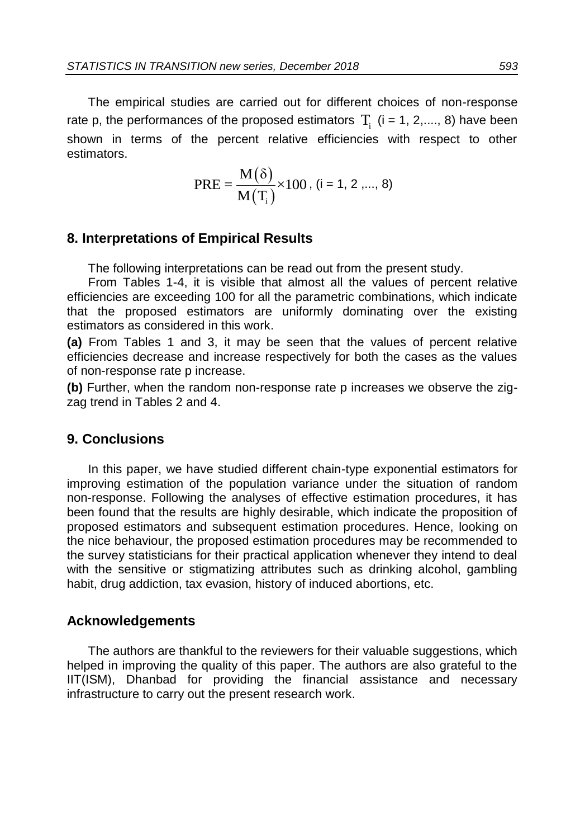The empirical studies are carried out for different choices of non-response rate p, the performances of the proposed estimators  $T_i$  (i = 1, 2,...., 8) have been shown in terms of the percent relative efficiencies with respect to other estimators.

$$
PRE = \frac{M(\delta)}{M(T_i)} \times 100, (i = 1, 2, ..., 8)
$$

### **8. Interpretations of Empirical Results**

The following interpretations can be read out from the present study.

From Tables 1-4, it is visible that almost all the values of percent relative efficiencies are exceeding 100 for all the parametric combinations, which indicate that the proposed estimators are uniformly dominating over the existing estimators as considered in this work.

**(a)** From Tables 1 and 3, it may be seen that the values of percent relative efficiencies decrease and increase respectively for both the cases as the values of non-response rate p increase.

**(b)** Further, when the random non-response rate p increases we observe the zigzag trend in Tables 2 and 4.

### **9. Conclusions**

In this paper, we have studied different chain-type exponential estimators for improving estimation of the population variance under the situation of random non-response. Following the analyses of effective estimation procedures, it has been found that the results are highly desirable, which indicate the proposition of proposed estimators and subsequent estimation procedures. Hence, looking on the nice behaviour, the proposed estimation procedures may be recommended to the survey statisticians for their practical application whenever they intend to deal with the sensitive or stigmatizing attributes such as drinking alcohol, gambling habit, drug addiction, tax evasion, history of induced abortions, etc.

### **Acknowledgements**

The authors are thankful to the reviewers for their valuable suggestions, which helped in improving the quality of this paper. The authors are also grateful to the IIT(ISM), Dhanbad for providing the financial assistance and necessary infrastructure to carry out the present research work.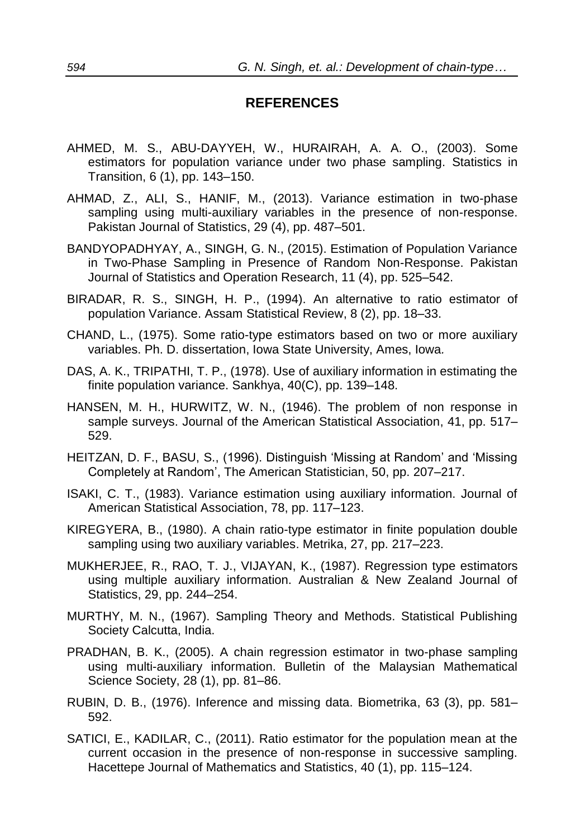## **REFERENCES**

- AHMED, M. S., ABU-DAYYEH, W., HURAIRAH, A. A. O., (2003). Some estimators for population variance under two phase sampling. Statistics in Transition, 6 (1), pp. 143–150.
- AHMAD, Z., ALI, S., HANIF, M., (2013). Variance estimation in two-phase sampling using multi-auxiliary variables in the presence of non-response. Pakistan Journal of Statistics, 29 (4), pp. 487–501.
- BANDYOPADHYAY, A., SINGH, G. N., (2015). Estimation of Population Variance in Two-Phase Sampling in Presence of Random Non-Response. Pakistan Journal of Statistics and Operation Research, 11 (4), pp. 525–542.
- BIRADAR, R. S., SINGH, H. P., (1994). An alternative to ratio estimator of population Variance. Assam Statistical Review, 8 (2), pp. 18–33.
- CHAND, L., (1975). Some ratio-type estimators based on two or more auxiliary variables. Ph. D. dissertation, Iowa State University, Ames, Iowa*.*
- DAS, A. K., TRIPATHI, T. P., (1978). Use of auxiliary information in estimating the finite population variance. Sankhya, 40(C), pp. 139–148.
- HANSEN, M. H., HURWITZ, W. N., (1946). The problem of non response in sample surveys. Journal of the American Statistical Association, 41, pp. 517– 529.
- HEITZAN, D. F., BASU, S., (1996). Distinguish 'Missing at Random' and 'Missing Completely at Random', The American Statistician, 50, pp. 207–217.
- ISAKI, C. T., (1983). Variance estimation using auxiliary information. Journal of American Statistical Association, 78, pp. 117–123.
- KIREGYERA, B., (1980). A chain ratio-type estimator in finite population double sampling using two auxiliary variables. Metrika, 27, pp. 217–223.
- MUKHERJEE, R., RAO, T. J., VIJAYAN, K., (1987). Regression type estimators using multiple auxiliary information. Australian & New Zealand Journal of Statistics, 29, pp. 244–254.
- MURTHY, M. N., (1967). Sampling Theory and Methods. Statistical Publishing Society Calcutta, India.
- PRADHAN, B. K., (2005). A chain regression estimator in two-phase sampling using multi-auxiliary information. Bulletin of the Malaysian Mathematical Science Society, 28 (1), pp. 81–86.
- RUBIN, D. B., (1976). Inference and missing data. Biometrika, 63 (3), pp. 581– 592.
- SATICI, E., KADILAR, C., (2011). Ratio estimator for the population mean at the current occasion in the presence of non-response in successive sampling. Hacettepe Journal of Mathematics and Statistics, 40 (1), pp. 115–124.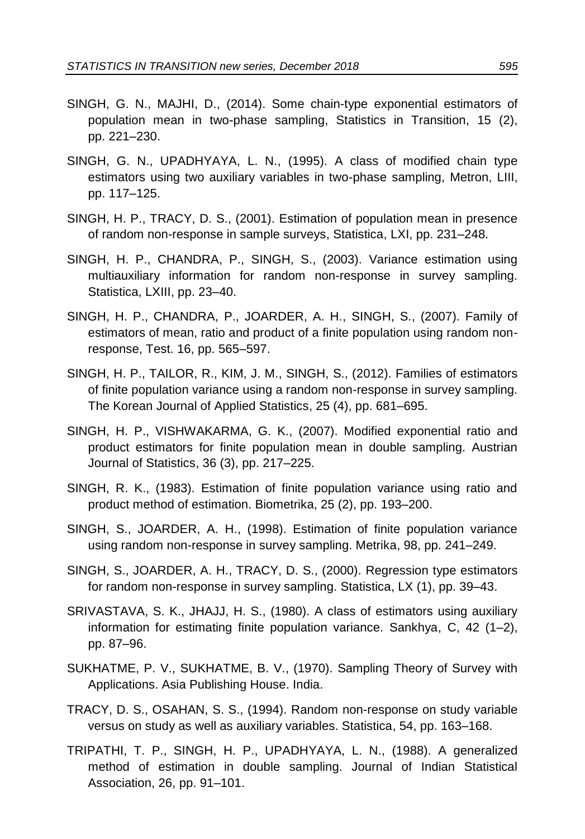- SINGH, G. N., MAJHI, D., (2014). Some chain-type exponential estimators of population mean in two-phase sampling, Statistics in Transition, 15 (2), pp. 221–230.
- SINGH, G. N., UPADHYAYA, L. N., (1995). A class of modified chain type estimators using two auxiliary variables in two-phase sampling, Metron, LIII, pp. 117–125.
- SINGH, H. P., TRACY, D. S., (2001). Estimation of population mean in presence of random non-response in sample surveys, Statistica, LXI, pp. 231–248.
- SINGH, H. P., CHANDRA, P., SINGH, S., (2003). Variance estimation using multiauxiliary information for random non-response in survey sampling. Statistica, LXIII, pp. 23–40.
- SINGH, H. P., CHANDRA, P., JOARDER, A. H., SINGH, S., (2007). Family of estimators of mean, ratio and product of a finite population using random nonresponse, Test. 16, pp. 565–597.
- SINGH, H. P., TAILOR, R., KIM, J. M., SINGH, S., (2012). Families of estimators of finite population variance using a random non-response in survey sampling. The Korean Journal of Applied Statistics, 25 (4), pp. 681–695.
- SINGH, H. P., VISHWAKARMA, G. K., (2007). Modified exponential ratio and product estimators for finite population mean in double sampling. Austrian Journal of Statistics, 36 (3), pp. 217–225.
- SINGH, R. K., (1983). Estimation of finite population variance using ratio and product method of estimation. Biometrika, 25 (2), pp. 193–200.
- SINGH, S., JOARDER, A. H., (1998). Estimation of finite population variance using random non-response in survey sampling. Metrika, 98, pp. 241–249.
- SINGH, S., JOARDER, A. H., TRACY, D. S., (2000). Regression type estimators for random non-response in survey sampling. Statistica, LX (1), pp. 39–43.
- SRIVASTAVA, S. K., JHAJJ, H. S., (1980). A class of estimators using auxiliary information for estimating finite population variance. Sankhya, C, 42 (1–2), pp. 87–96.
- SUKHATME, P. V., SUKHATME, B. V., (1970). Sampling Theory of Survey with Applications. Asia Publishing House. India.
- TRACY, D. S., OSAHAN, S. S., (1994). Random non-response on study variable versus on study as well as auxiliary variables. Statistica, 54, pp. 163–168.
- TRIPATHI, T. P., SINGH, H. P., UPADHYAYA, L. N., (1988). A generalized method of estimation in double sampling. Journal of Indian Statistical Association, 26, pp. 91–101.